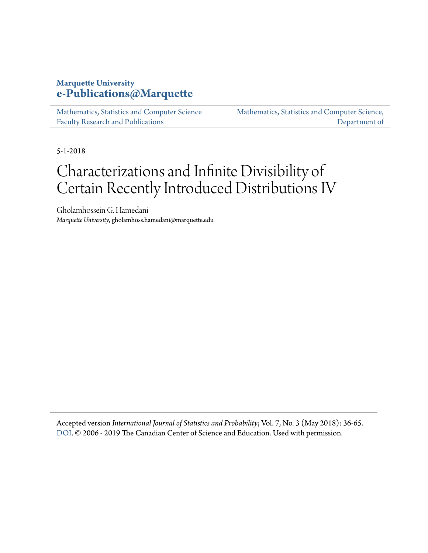### **Marquette University [e-Publications@Marquette](https://epublications.marquette.edu)**

[Mathematics, Statistics and Computer Science](https://epublications.marquette.edu/mscs_fac) [Faculty Research and Publications](https://epublications.marquette.edu/mscs_fac)

[Mathematics, Statistics and Computer Science,](https://epublications.marquette.edu/mscs) [Department of](https://epublications.marquette.edu/mscs)

5-1-2018

# Characterizations and Infinite Divisibility of Certain Recently Introduced Distributions IV

Gholamhossein G. Hamedani *Marquette University*, gholamhoss.hamedani@marquette.edu

Accepted version *International Journal of Statistics and Probability*; Vol. 7, No. 3 (May 2018): 36-65. [DOI](https://doi.org/10.5539/ijsp.v7n3p36). © 2006 - 2019 The Canadian Center of Science and Education. Used with permission.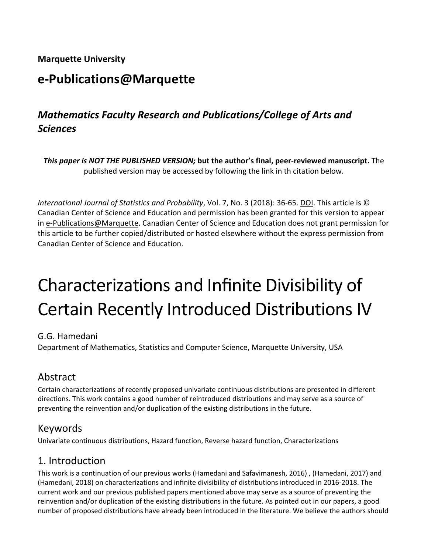**Marquette University**

# **e-Publications@Marquette**

# *Mathematics Faculty Research and Publications/College of Arts and Sciences*

*This paper is NOT THE PUBLISHED VERSION;* **but the author's final, peer-reviewed manuscript.** The published version may be accessed by following the link in th citation below.

*International Journal of Statistics and Probability*, Vol. 7, No. 3 (2018): 36-65. [DOI.](file://vs-fs2/ACAD/LIB/The%20Commons/Projects/IR/IR%20training%20documents/dx.doi.org/10.1016/j.acalib.2009.06.017) This article is © Canadian Center of Science and Education and permission has been granted for this version to appear in [e-Publications@Marquette.](http://epublications.marquette.edu/) Canadian Center of Science and Education does not grant permission for this article to be further copied/distributed or hosted elsewhere without the express permission from Canadian Center of Science and Education.

# Characterizations and Infinite Divisibility of Certain Recently Introduced Distributions IV

#### G.G. Hamedani

Department of Mathematics, Statistics and Computer Science, Marquette University, USA

# Abstract

Certain characterizations of recently proposed univariate continuous distributions are presented in different directions. This work contains a good number of reintroduced distributions and may serve as a source of preventing the reinvention and/or duplication of the existing distributions in the future.

# Keywords

Univariate continuous distributions, Hazard function, Reverse hazard function, Characterizations

# 1. Introduction

This work is a continuation of our previous works (Hamedani and Safavimanesh, 2016) , (Hamedani, 2017) and (Hamedani, 2018) on characterizations and infinite divisibility of distributions introduced in 2016-2018. The current work and our previous published papers mentioned above may serve as a source of preventing the reinvention and/or duplication of the existing distributions in the future. As pointed out in our papers, a good number of proposed distributions have already been introduced in the literature. We believe the authors should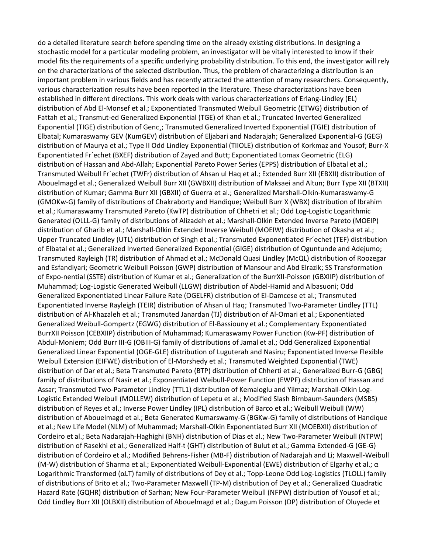do a detailed literature search before spending time on the already existing distributions. In designing a stochastic model for a particular modeling problem, an investigator will be vitally interested to know if their model fits the requirements of a specific underlying probability distribution. To this end, the investigator will rely on the characterizations of the selected distribution. Thus, the problem of characterizing a distribution is an important problem in various fields and has recently attracted the attention of many researchers. Consequently, various characterization results have been reported in the literature. These characterizations have been established in different directions. This work deals with various characterizations of Erlang-Lindley (EL) distribution of Abd El-Monsef et al.; Exponentiated Transmuted Weibull Geometric (ETWG) distribution of Fattah et al.; Transmut-ed Generalized Exponential (TGE) of Khan et al.; Truncated Inverted Generalized Exponential (TIGE) distribution of Genc¸; Transmuted Generalized Inverted Exponential (TGIE) distribution of Elbatal; Kumaraswamy GEV (KumGEV) distribution of Eljabari and Nadarajah; Generalized Exponential-G (GEG) distribution of Maurya et al.; Type II Odd Lindley Exponential (TIIOLE) distribution of Korkmaz and Yousof; Burr-X Exponentiated Fr´echet (BXEF) distribution of Zayed and Butt; Exponentiated Lomax Geometric (ELG) distribution of Hassan and Abd-Allah; Exponential Pareto Power Series (EPPS) distribution of Elbatal et al.; Transmuted Weibull Fr´echet (TWFr) distribution of Ahsan ul Haq et al.; Extended Burr XII (EBXII) distribution of Abouelmagd et al.; Generalized Weibull Burr XII (GWBXII) distribution of Maksaei and Altun; Burr Type XII (BTXII) distribution of Kumar; Gamma Burr XII (GBXII) of Guerra et al.; Generalized Marshall-Olkin-Kumaraswamy-G (GMOKw-G) family of distributions of Chakraborty and Handique; Weibull Burr X (WBX) distribution of Ibrahim et al.; Kumaraswamy Transmuted Pareto (KwTP) distribution of Chhetri et al.; Odd Log-Logistic Logarithmic Generated (OLLL-G) family of distributions of Alizadeh et al.; Marshall-Olkin Extended Inverse Pareto (MOEIP) distribution of Gharib et al.; Marshall-Olkin Extended Inverse Weibull (MOEIW) distribution of Okasha et al.; Upper Truncated Lindley (UTL) distribution of Singh et al.; Transmuted Exponentiated Fr´echet (TEF) distribution of Elbatal et al.; Generalized Inverted Generalized Exponential (GIGE) distribution of Oguntunde and Adejumo; Transmuted Rayleigh (TR) distribution of Ahmad et al.; McDonald Quasi Lindley (McQL) distribution of Roozegar and Esfandiyari; Geometric Weibull Poisson (GWP) distribution of Mansour and Abd Elrazik; SS Transformation of Expo-nential (SSTE) distribution of Kumar et al.; Generalization of the BurrXII-Poisson (GBXIIP) distribution of Muhammad; Log-Logistic Generated Weibull (LLGW) distribution of Abdel-Hamid and Albasuoni; Odd Generalized Exponentiated Linear Failure Rate (OGELFR) distribution of El-Damcese et al.; Transmuted Exponentiated Inverse Rayleigh (TEIR) distribution of Ahsan ul Haq; Transmuted Two-Parameter Lindley (TTL) distribution of Al-Khazaleh et al.; Transmuted Janardan (TJ) distribution of Al-Omari et al.; Exponentiated Generalized Weibull-Gompertz (EGWG) distribution of El-Bassiouny et al.; Complementary Exponentiated BurrXII Poisson (CEBXIIP) distribution of Muhammad; Kumaraswamy Power Function (Kw-PF) distribution of Abdul-Moniem; Odd Burr III-G (OBIII-G) family of distributions of Jamal et al.; Odd Generalized Exponential Generalized Linear Exponential (OGE-GLE) distribution of Luguterah and Nasiru; Exponentiated Inverse Flexible Weibull Extension (EIFWE) distribution of El-Morshedy et al.; Transmuted Weighted Exponential (TWE) distribution of Dar et al.; Beta Transmuted Pareto (BTP) distribution of Chherti et al.; Generalized Burr-G (GBG) family of distributions of Nasir et al.; Exponentiated Weibull-Power Function (EWPF) distribution of Hassan and Assar; Transmuted Two-Parameter Lindley (TTL1) distribution of Kemaloglu and Yilmaz; Marshall-Olkin Log-Logistic Extended Weibull (MOLLEW) distribution of Lepetu et al.; Modified Slash Birnbaum-Saunders (MSBS) distribution of Reyes et al.; Inverse Power Lindley (IPL) distribution of Barco et al.; Weibull Weibull (WW) distribution of Abouelmagd et al.; Beta Generated Kumarswamy-G (BGKw-G) family of distributions of Handique et al.; New Life Model (NLM) of Muhammad; Marshall-Olkin Exponentiated Burr XII (MOEBXII) distribution of Cordeiro et al.; Beta Nadarajah-Haghighi (BNH) distribution of Dias et al.; New Two-Parameter Weibull (NTPW) distribution of Rasekhi et al.; Generalized Half-t (GHT) distribution of Bulut et al.; Gamma Extended-G (GE-G) distribution of Cordeiro et al.; Modified Behrens-Fisher (MB-F) distribution of Nadarajah and Li; Maxwell-Weibull (M-W) distribution of Sharma et al.; Exponentiated Weibull-Exponential (EWE) distribution of Elgarhy et al.; α Logarithmic Transformed (αLT) family of distributions of Dey et al.; Topp-Leone Odd Log-Logistics (TLOLL) family of distributions of Brito et al.; Two-Parameter Maxwell (TP-M) distribution of Dey et al.; Generalized Quadratic Hazard Rate (GQHR) distribution of Sarhan; New Four-Parameter Weibull (NFPW) distribution of Yousof et al.; Odd Lindley Burr XII (OLBXII) distribution of Abouelmagd et al.; Dagum Poisson (DP) distribution of Oluyede et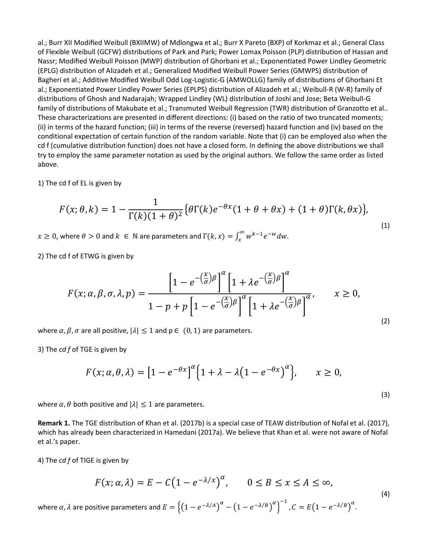al.; Burr XII Modified Weibull (BXIIMW) of Mdlongwa et al.; Burr X Pareto (BXP) of Korkmaz et al.; General Class of Flexible Weibull (GCFW) distributions of Park and Park; Power Lomax Poisson (PLP) distribution of Hassan and Nassr; Modified Weibull Poisson (MWP) distribution of Ghorbani et al.; Exponentiated Power Lindley Geometric (EPLG) distribution of Alizadeh et al.; Generalized Modified Weibull Power Series (GMWPS) distribution of Bagheri et al.; Additive Modified Weibull Odd Log-Logistic-G (AMWOLLG) family of distributions of Ghorbani Et al.; Exponentiated Power Lindley Power Series (EPLPS) distribution of Alizadeh et al.; Weibull-R (W-R) family of distributions of Ghosh and Nadarajah; Wrapped Lindley (WL) distribution of Joshi and Jose; Beta Weibull-G family of distributions of Makubate et al.; Transmuted Weibull Regression (TWR) distribution of Granzotto et al.. These characterizations are presented in different directions: (i) based on the ratio of two truncated moments; (ii) in terms of the hazard function; (iii) in terms of the reverse (reversed) hazard function and (iv) based on the conditional expectation of certain function of the random variable. Note that (i) can be employed also when the cd f (cumulative distribution function) does not have a closed form. In defining the above distributions we shall try to employ the same parameter notation as used by the original authors. We follow the same order as listed above.

1) The cd f of EL is given by

$$
F(x; \theta, k) = 1 - \frac{1}{\Gamma(k)(1+\theta)^2} \{ \theta \Gamma(k) e^{-\theta x} (1+\theta+\theta x) + (1+\theta) \Gamma(k, \theta x) \},\tag{1}
$$

 $x \geq 0$ , where  $\theta > 0$  and  $k \in \mathbb{N}$  are parameters and  $\Gamma(k, x) = \int_{x}^{\infty} w^{k-1} e^{-w} dw$ .

2) The cd f of ETWG is given by

$$
F(x; \alpha, \beta, \sigma, \lambda, p) = \frac{\left[1 - e^{-\left(\frac{x}{\sigma}\right)\beta}\right]^{\alpha}\left[1 + \lambda e^{-\left(\frac{x}{\sigma}\right)\beta}\right]^{\alpha}}{1 - p + p\left[1 - e^{-\left(\frac{x}{\sigma}\right)\beta}\right]^{\alpha}\left[1 + \lambda e^{-\left(\frac{x}{\sigma}\right)\beta}\right]^{\alpha}}, \qquad x \ge 0,
$$
\n(2)

where  $\alpha$ ,  $\beta$ ,  $\sigma$  are all positive,  $|\lambda| \leq 1$  and  $p \in (0, 1)$  are parameters.

3) The *cd f* of TGE is given by

$$
F(x; \alpha, \theta, \lambda) = \left[1 - e^{-\theta x}\right]^{\alpha} \left\{1 + \lambda - \lambda \left(1 - e^{-\theta x}\right)^{\alpha}\right\}, \qquad x \ge 0,
$$

(3)

where  $\alpha$ ,  $\theta$  both positive and  $|\lambda| \leq 1$  are parameters.

**Remark 1.** The TGE distribution of Khan et al. (2017b) is a special case of TEAW distribution of Nofal et al. (2017), which has already been characterized in Hamedani (2017a). We believe that Khan et al. were not aware of Nofal et al.'s paper.

4) The *cd f* of TIGE is given by

$$
F(x; \alpha, \lambda) = E - C(1 - e^{-\lambda/x})^{\alpha}, \qquad 0 \le B \le x \le A \le \infty,
$$
  
\nwhere  $\alpha, \lambda$  are positive parameters and  $E = \{(1 - e^{-\lambda/A})^{\alpha} - (1 - e^{-\lambda/B})^{\alpha}\}^{-1}, C = E(1 - e^{-\lambda/B})^{\alpha}.$  (4)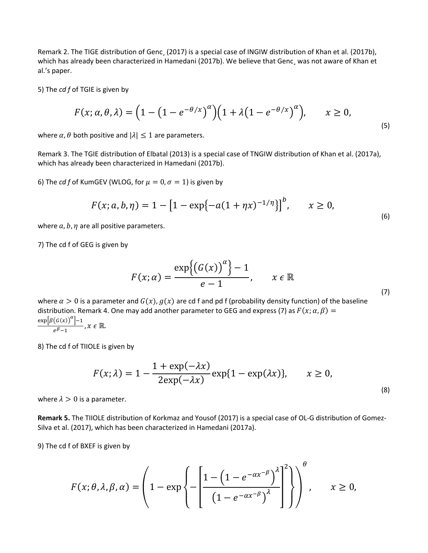Remark 2. The TIGE distribution of Genc¸ (2017) is a special case of INGIW distribution of Khan et al. (2017b), which has already been characterized in Hamedani (2017b). We believe that Genc, was not aware of Khan et al.'s paper.

5) The *cd f* of TGIE is given by

$$
F(x; \alpha, \theta, \lambda) = \left(1 - \left(1 - e^{-\theta/x}\right)^{\alpha}\right) \left(1 + \lambda \left(1 - e^{-\theta/x}\right)^{\alpha}\right), \qquad x \ge 0,
$$
\n<sup>(5)</sup>

where  $\alpha$ ,  $\theta$  both positive and  $|\lambda| \leq 1$  are parameters.

Remark 3. The TGIE distribution of Elbatal (2013) is a special case of TNGIW distribution of Khan et al. (2017a), which has already been characterized in Hamedani (2017b).

6) The *cd f* of KumGEV (WLOG, for  $\mu = 0$ ,  $\sigma = 1$ ) is given by

$$
F(x; a, b, \eta) = 1 - [1 - \exp\{-a(1 + \eta x)^{-1/\eta}\}]^b, \qquad x \ge 0,
$$
\n(6)

where  $a, b, \eta$  are all positive parameters.

7) The cd f of GEG is given by

$$
F(x; \alpha) = \frac{\exp\{(G(x))^\alpha\} - 1}{e - 1}, \qquad x \in \mathbb{R}
$$

where  $\alpha > 0$  is a parameter and  $G(x)$ ,  $g(x)$  are cd f and pd f (probability density function) of the baseline distribution. Remark 4. One may add another parameter to GEG and express (7) as  $F(x; \alpha, \beta) =$  $\frac{\exp[\beta(G(x))^{\alpha}]-1}{e^{\beta}-1}, x \in \mathbb{R}.$ 

8) The cd f of TIIOLE is given by

$$
F(x; \lambda) = 1 - \frac{1 + \exp(-\lambda x)}{2\exp(-\lambda x)} \exp\{1 - \exp(\lambda x)\}, \qquad x \ge 0,
$$
\n(8)

where  $\lambda > 0$  is a parameter.

**Remark 5.** The TIIOLE distribution of Korkmaz and Yousof (2017) is a special case of OL-G distribution of Gomez-Silva et al. (2017), which has been characterized in Hamedani (2017a).

9) The cd f of BXEF is given by

$$
F(x; \theta, \lambda, \beta, \alpha) = \left(1 - \exp\left\{-\left[\frac{1 - \left(1 - e^{-\alpha x^{-\beta}}\right)^{\lambda}}{\left(1 - e^{-\alpha x^{-\beta}}\right)^{\lambda}}\right]^2\right\}\right), \quad x \ge 0,
$$

(7)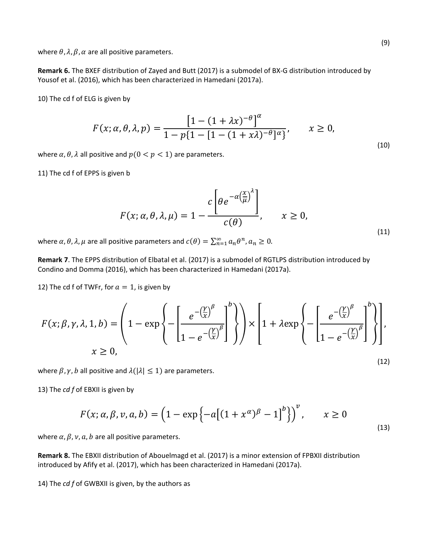where  $\theta$ ,  $\lambda$ ,  $\beta$ ,  $\alpha$  are all positive parameters.

**Remark 6.** The BXEF distribution of Zayed and Butt (2017) is a submodel of BX-G distribution introduced by Yousof et al. (2016), which has been characterized in Hamedani (2017a).

10) The cd f of ELG is given by

$$
F(x; \alpha, \theta, \lambda, p) = \frac{\left[1 - (1 + \lambda x)^{-\theta}\right]^{\alpha}}{1 - p\{1 - [1 - (1 + x\lambda)^{-\theta}]^{\alpha}\}}, \qquad x \ge 0,
$$
\n(10)

where  $\alpha$ ,  $\theta$ ,  $\lambda$  all positive and  $p(0 < p < 1)$  are parameters.

11) The cd f of EPPS is given b

$$
F(x; \alpha, \theta, \lambda, \mu) = 1 - \frac{c \left[ \theta e^{-\alpha \left( \frac{x}{\mu} \right)^{\lambda}} \right]}{c(\theta)}, \qquad x \ge 0,
$$
\n(11)

where  $\alpha$ ,  $\theta$ ,  $\lambda$ ,  $\mu$  are all positive parameters and  $c(\theta) = \sum_{n=1}^{\infty} a_n \theta^n$ ,  $a_n \ge 0$ .

**Remark 7**. The EPPS distribution of Elbatal et al. (2017) is a submodel of RGTLPS distribution introduced by Condino and Domma (2016), which has been characterized in Hamedani (2017a).

12) The cd f of TWFr, for  $a = 1$ , is given by

$$
F(x; \beta, \gamma, \lambda, 1, b) = \left(1 - \exp\left\{-\left[\frac{e^{-\left(\frac{\gamma}{x}\right)^{\beta}}}{1 - e^{-\left(\frac{\gamma}{x}\right)^{\beta}}}\right]^{b}\right)\right) \times \left[1 + \lambda \exp\left\{-\left[\frac{e^{-\left(\frac{\gamma}{x}\right)^{\beta}}}{1 - e^{-\left(\frac{\gamma}{x}\right)^{\beta}}}\right]^{b}\right\}\right],
$$
  
 $x \ge 0,$  (12)

where  $\beta$ ,  $\gamma$ ,  $b$  all positive and  $\lambda(|\lambda| \leq 1)$  are parameters.

13) The *cd f* of EBXII is given by

$$
F(x; \alpha, \beta, \nu, a, b) = \left(1 - \exp\left\{-a\left[(1 + x^{\alpha})^{\beta} - 1\right]^b\right\}\right)^{\nu}, \qquad x \ge 0
$$
\n<sup>(13)</sup>

where  $\alpha$ ,  $\beta$ ,  $\nu$ ,  $a$ ,  $b$  are all positive parameters.

**Remark 8.** The EBXII distribution of Abouelmagd et al. (2017) is a minor extension of FPBXII distribution introduced by Afify et al. (2017), which has been characterized in Hamedani (2017a).

14) The *cd f* of GWBXII is given, by the authors as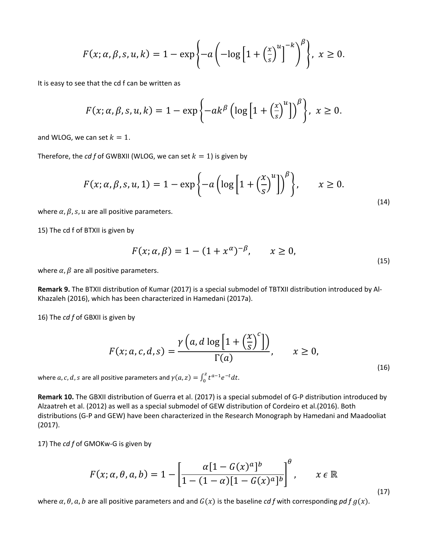$$
F(x; \alpha, \beta, s, u, k) = 1 - \exp\left\{-a\left(-\log\left[1+\left(\frac{x}{s}\right)^u\right]^{-k}\right)^{\beta}\right\}, x \ge 0.
$$

It is easy to see that the cd f can be written as

$$
F(x; \alpha, \beta, s, u, k) = 1 - \exp\left\{-ak^{\beta}\left(\log\left[1+\left(\frac{x}{s}\right)^{u}\right]\right)^{\beta}\right\}, x \ge 0.
$$

and WLOG, we can set  $k = 1$ .

Therefore, the *cd f* of GWBXII (WLOG, we can set  $k = 1$ ) is given by

$$
F(x; \alpha, \beta, s, u, 1) = 1 - \exp\left\{-a\left(\log\left[1 + \left(\frac{x}{s}\right)^{u}\right]\right)^{\beta}\right\}, \qquad x \ge 0.
$$
\n<sup>(14)</sup>

where  $\alpha$ ,  $\beta$ ,  $s$ ,  $u$  are all positive parameters.

15) The cd f of BTXII is given by

$$
F(x; \alpha, \beta) = 1 - (1 + x^{\alpha})^{-\beta}, \qquad x \ge 0,
$$
\n(15)

where  $\alpha$ ,  $\beta$  are all positive parameters.

**Remark 9.** The BTXII distribution of Kumar (2017) is a special submodel of TBTXII distribution introduced by Al-Khazaleh (2016), which has been characterized in Hamedani (2017a).

16) The *cd f* of GBXII is given by

$$
F(x; a, c, d, s) = \frac{\gamma \left(a, d \log \left[1 + \left(\frac{x}{s}\right)^c\right]\right)}{\Gamma(a)}, \qquad x \ge 0,
$$
\n<sup>(16)</sup>

where  $a, c, d$ , s are all positive parameters and  $\gamma(a, z) = \int_0^z t^{a-1} e^{-t} dt$ .

**Remark 10.** The GBXII distribution of Guerra et al. (2017) is a special submodel of G-P distribution introduced by Alzaatreh et al. (2012) as well as a special submodel of GEW distribution of Cordeiro et al.(2016). Both distributions (G-P and GEW) have been characterized in the Research Monograph by Hamedani and Maadooliat (2017).

17) The *cd f* of GMOKw-G is given by

$$
F(x; \alpha, \theta, a, b) = 1 - \left[ \frac{\alpha [1 - G(x)^a]^b}{1 - (1 - \alpha)[1 - G(x)^a]^b} \right]^{\theta}, \qquad x \in \mathbb{R}
$$
\n(17)

where  $\alpha$ ,  $\theta$ ,  $\alpha$ ,  $b$  are all positive parameters and and  $G(x)$  is the baseline *cd f* with corresponding *pd f g*(*x*).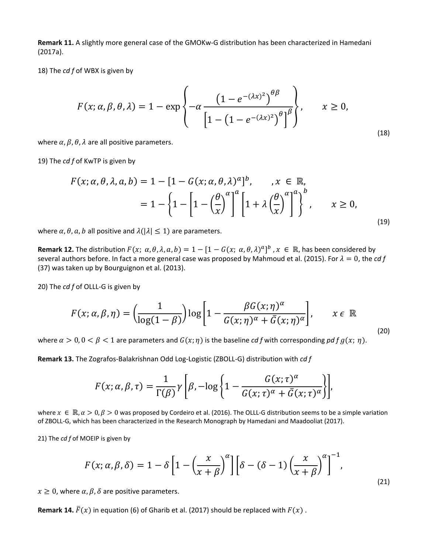**Remark 11.** A slightly more general case of the GMOKw-G distribution has been characterized in Hamedani (2017a).

18) The *cd f* of WBX is given by

$$
F(x; \alpha, \beta, \theta, \lambda) = 1 - \exp\left\{-\alpha \frac{\left(1 - e^{-(\lambda x)^2}\right)^{\theta \beta}}{\left[1 - \left(1 - e^{-(\lambda x)^2}\right)^{\theta}\right]^{\beta}}\right\}, \qquad x \ge 0,
$$
\n(18)

where  $\alpha$ ,  $\beta$ ,  $\theta$ ,  $\lambda$  are all positive parameters.

19) The *cd f* of KwTP is given by

$$
F(x; \alpha, \theta, \lambda, a, b) = 1 - [1 - G(x; \alpha, \theta, \lambda)^{a}]^{b}, \quad x \in \mathbb{R},
$$
  
=  $1 - \left\{1 - \left[1 - \left(\frac{\theta}{x}\right)^{a}\right]^{a} \left[1 + \lambda \left(\frac{\theta}{x}\right)^{a}\right]^{a}\right\}, \quad x \ge 0,$  (19)

where  $\alpha$ ,  $\theta$ ,  $\alpha$ ,  $b$  all positive and  $\lambda(|\lambda| \leq 1)$  are parameters.

**Remark 12.** The distribution  $F(x; \alpha, \theta, \lambda, a, b) = 1 - [1 - G(x; \alpha, \theta, \lambda)^a]^b$ ,  $x \in \mathbb{R}$ , has been considered by several authors before. In fact a more general case was proposed by Mahmoud et al. (2015). For  $\lambda = 0$ , the *cd* f (37) was taken up by Bourguignon et al. (2013).

20) The *cd f* of OLLL-G is given by

$$
F(x; \alpha, \beta, \eta) = \left(\frac{1}{\log(1-\beta)}\right) \log\left[1 - \frac{\beta G(x; \eta)^{\alpha}}{G(x; \eta)^{\alpha} + \bar{G}(x; \eta)^{\alpha}}\right], \qquad x \in \mathbb{R}
$$
\n(20)

where  $\alpha > 0$ ,  $0 < \beta < 1$  are parameters and  $G(x; \eta)$  is the baseline *cd f* with corresponding *pd f g*(*x*;  $\eta$ ).

**Remark 13.** The Zografos-Balakrishnan Odd Log-Logistic (ZBOLL-G) distribution with *cd f*

$$
F(x; \alpha, \beta, \tau) = \frac{1}{\Gamma(\beta)} \gamma \left[ \beta, -\log \left\{ 1 - \frac{G(x; \tau)^{\alpha}}{G(x; \tau)^{\alpha} + \bar{G}(x; \tau)^{\alpha}} \right\} \right],
$$

where  $x \in \mathbb{R}, \alpha > 0, \beta > 0$  was proposed by Cordeiro et al. (2016). The OLLL-G distribution seems to be a simple variation of ZBOLL-G, which has been characterized in the Research Monograph by Hamedani and Maadooliat (2017).

21) The *cd f* of MOEIP is given by

$$
F(x; \alpha, \beta, \delta) = 1 - \delta \left[ 1 - \left( \frac{x}{x + \beta} \right)^{\alpha} \right] \left[ \delta - (\delta - 1) \left( \frac{x}{x + \beta} \right)^{\alpha} \right]^{-1},
$$
\n(21)

 $x \geq 0$ , where  $\alpha$ ,  $\beta$ ,  $\delta$  are positive parameters.

**Remark 14.**  $\bar{F}(x)$  in equation (6) of Gharib et al. (2017) should be replaced with  $F(x)$ .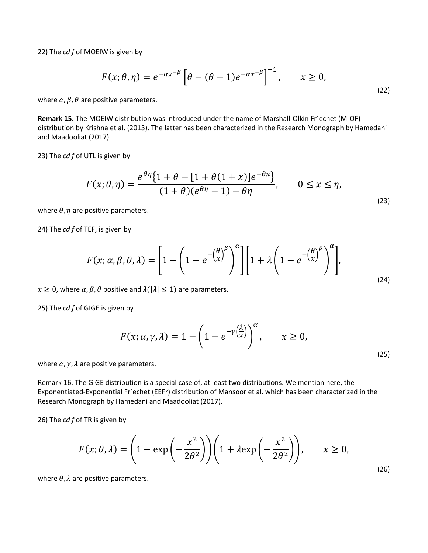22) The *cd f* of MOEIW is given by

$$
F(x; \theta, \eta) = e^{-\alpha x^{-\beta}} \left[ \theta - (\theta - 1)e^{-\alpha x^{-\beta}} \right]^{-1}, \qquad x \ge 0,
$$
\n<sup>(22)</sup>

where  $\alpha$ ,  $\beta$ ,  $\theta$  are positive parameters.

**Remark 15.** The MOEIW distribution was introduced under the name of Marshall-Olkin Fr´echet (M-OF) distribution by Krishna et al. (2013). The latter has been characterized in the Research Monograph by Hamedani and Maadooliat (2017).

23) The *cd f* of UTL is given by

$$
F(x; \theta, \eta) = \frac{e^{\theta \eta} \{1 + \theta - [1 + \theta(1+x)]e^{-\theta x}\}}{(1+\theta)(e^{\theta \eta} - 1) - \theta \eta}, \qquad 0 \le x \le \eta,
$$
\n
$$
(23)
$$

where  $\theta$ ,  $\eta$  are positive parameters.

24) The *cd f* of TEF, is given by

$$
F(x; \alpha, \beta, \theta, \lambda) = \left[1 - \left(1 - e^{-\left(\frac{\theta}{x}\right)^{\beta}}\right)^{\alpha}\right] \left[1 + \lambda \left(1 - e^{-\left(\frac{\theta}{x}\right)^{\beta}}\right)^{\alpha}\right],
$$
\n(24)

 $x \geq 0$ , where  $\alpha$ ,  $\beta$ ,  $\theta$  positive and  $\lambda(|\lambda| \leq 1)$  are parameters.

25) The *cd f* of GIGE is given by

$$
F(x; \alpha, \gamma, \lambda) = 1 - \left(1 - e^{-\gamma \left(\frac{\lambda}{x}\right)}\right)^{\alpha}, \qquad x \ge 0,
$$
\n<sup>(25)</sup>

where  $\alpha$ ,  $\gamma$ ,  $\lambda$  are positive parameters.

Remark 16. The GIGE distribution is a special case of, at least two distributions. We mention here, the Exponentiated-Exponential Fr´echet (EEFr) distribution of Mansoor et al. which has been characterized in the Research Monograph by Hamedani and Maadooliat (2017).

26) The *cd f* of TR is given by

$$
F(x; \theta, \lambda) = \left(1 - \exp\left(-\frac{x^2}{2\theta^2}\right)\right) \left(1 + \lambda \exp\left(-\frac{x^2}{2\theta^2}\right)\right), \qquad x \ge 0,
$$
\n<sup>(26)</sup>

where  $\theta$ ,  $\lambda$  are positive parameters.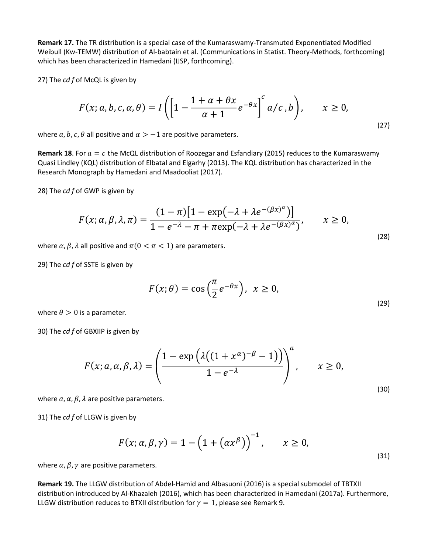**Remark 17.** The TR distribution is a special case of the Kumaraswamy-Transmuted Exponentiated Modified Weibull (Kw-TEMW) distribution of Al-babtain et al. (Communications in Statist. Theory-Methods, forthcoming) which has been characterized in Hamedani (IJSP, forthcoming).

27) The *cd f* of McQL is given by

$$
F(x; a, b, c, a, \theta) = I\left(\left[1 - \frac{1 + \alpha + \theta x}{\alpha + 1}e^{-\theta x}\right]^c a/c, b\right), \qquad x \ge 0,
$$
\n<sup>(27)</sup>

where  $a, b, c, \theta$  all positive and  $\alpha > -1$  are positive parameters.

**Remark 18**. For  $a = c$  the McQL distribution of Roozegar and Esfandiary (2015) reduces to the Kumaraswamy Quasi Lindley (KQL) distribution of Elbatal and Elgarhy (2013). The KQL distribution has characterized in the Research Monograph by Hamedani and Maadooliat (2017).

28) The *cd f* of GWP is given by

$$
F(x; \alpha, \beta, \lambda, \pi) = \frac{(1 - \pi)[1 - \exp(-\lambda + \lambda e^{-(\beta x)^{\alpha}})]}{1 - e^{-\lambda} - \pi + \pi \exp(-\lambda + \lambda e^{-(\beta x)^{\alpha}})}, \qquad x \ge 0,
$$
\n(28)

where  $\alpha$ ,  $\beta$ ,  $\lambda$  all positive and  $\pi$ ( $0 < \pi < 1$ ) are parameters.

29) The *cd f* of SSTE is given by

$$
F(x; \theta) = \cos\left(\frac{\pi}{2}e^{-\theta x}\right), \ \ x \ge 0,
$$
\n<sup>(29)</sup>

where  $\theta > 0$  is a parameter.

30) The *cd f* of GBXIIP is given by

$$
F(x; a, \alpha, \beta, \lambda) = \left(\frac{1 - \exp\left(\lambda\left((1 + x^{\alpha})^{-\beta} - 1\right)\right)}{1 - e^{-\lambda}}\right)^a, \qquad x \ge 0,
$$
\n
$$
(30)
$$

where  $\alpha$ ,  $\alpha$ ,  $\beta$ ,  $\lambda$  are positive parameters.

31) The *cd f* of LLGW is given by

$$
F(x; \alpha, \beta, \gamma) = 1 - \left(1 + \left(\alpha x^{\beta}\right)\right)^{-1}, \qquad x \ge 0,
$$
\n<sup>(31)</sup>

where  $\alpha$ ,  $\beta$ ,  $\gamma$  are positive parameters.

**Remark 19.** The LLGW distribution of Abdel-Hamid and Albasuoni (2016) is a special submodel of TBTXII distribution introduced by Al-Khazaleh (2016), which has been characterized in Hamedani (2017a). Furthermore, LLGW distribution reduces to BTXII distribution for  $\gamma = 1$ , please see Remark 9.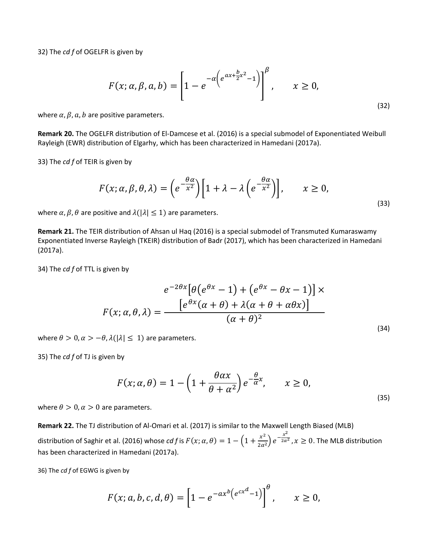32) The *cd f* of OGELFR is given by

$$
F(x; \alpha, \beta, a, b) = \left[1 - e^{-\alpha \left(e^{\alpha x + \frac{b}{2}x^2} - 1\right)}\right]^{\beta}, \qquad x \ge 0,
$$
\n<sup>(32)</sup>

where  $\alpha$ ,  $\beta$ ,  $\alpha$ ,  $b$  are positive parameters.

**Remark 20.** The OGELFR distribution of El-Damcese et al. (2016) is a special submodel of Exponentiated Weibull Rayleigh (EWR) distribution of Elgarhy, which has been characterized in Hamedani (2017a).

33) The *cd f* of TEIR is given by

$$
F(x; \alpha, \beta, \theta, \lambda) = \left(e^{-\frac{\theta \alpha}{x^2}}\right) \left[1 + \lambda - \lambda \left(e^{-\frac{\theta \alpha}{x^2}}\right)\right], \qquad x \ge 0,
$$
\n<sup>(33)</sup>

where  $\alpha$ ,  $\beta$ ,  $\theta$  are positive and  $\lambda(|\lambda| \leq 1)$  are parameters.

**Remark 21.** The TEIR distribution of Ahsan ul Haq (2016) is a special submodel of Transmuted Kumaraswamy Exponentiated Inverse Rayleigh (TKEIR) distribution of Badr (2017), which has been characterized in Hamedani (2017a).

34) The *cd f* of TTL is given by

$$
e^{-2\theta x} \left[ \theta \left( e^{\theta x} - 1 \right) + \left( e^{\theta x} - \theta x - 1 \right) \right] \times
$$

$$
F(x; \alpha, \theta, \lambda) = \frac{\left[ e^{\theta x} (\alpha + \theta) + \lambda (\alpha + \theta + \alpha \theta x) \right]}{(\alpha + \theta)^2}
$$
(34)

where  $\theta > 0$ ,  $\alpha > -\theta$ ,  $\lambda(|\lambda| \leq 1)$  are parameters.

35) The *cd f* of TJ is given by

$$
F(x; \alpha, \theta) = 1 - \left(1 + \frac{\theta \alpha x}{\theta + \alpha^2}\right) e^{-\frac{\theta}{\alpha}x}, \qquad x \ge 0,
$$
\n<sup>(35)</sup>

where  $\theta > 0$ ,  $\alpha > 0$  are parameters.

**Remark 22.** The TJ distribution of Al-Omari et al. (2017) is similar to the Maxwell Length Biased (MLB) distribution of Saghir et al. (2016) whose *cd f* is  $F(x; \alpha, \theta) = 1 - \left(1 + \frac{x^2}{2\alpha^2}\right)e^{-\frac{x^2}{2\alpha^2}}, x \ge 0$ . The MLB distribution has been characterized in Hamedani (2017a).

36) The *cd f* of EGWG is given by

$$
F(x;a,b,c,d,\theta) = \left[1 - e^{-ax^b\left(e^{cx^d}-1\right)}\right]^{\theta}, \qquad x \ge 0,
$$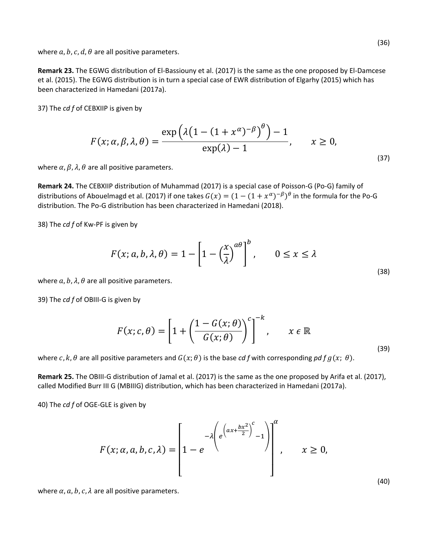where  $a, b, c, d, \theta$  are all positive parameters.

**Remark 23.** The EGWG distribution of El-Bassiouny et al. (2017) is the same as the one proposed by El-Damcese et al. (2015). The EGWG distribution is in turn a special case of EWR distribution of Elgarhy (2015) which has been characterized in Hamedani (2017a).

37) The *cd f* of CEBXIIP is given by

$$
F(x; \alpha, \beta, \lambda, \theta) = \frac{\exp\left(\lambda \left(1 - (1 + x^{\alpha})^{-\beta}\right)^{\theta}\right) - 1}{\exp(\lambda) - 1}, \qquad x \ge 0,
$$
\n<sup>(37)</sup>

where  $\alpha$ ,  $\beta$ ,  $\lambda$ ,  $\theta$  are all positive parameters.

**Remark 24.** The CEBXIIP distribution of Muhammad (2017) is a special case of Poisson-G (Po-G) family of distributions of Abouelmagd et al. (2017) if one takes  $G(x) = (1 - (1 + x^{\alpha})^{-\beta})^{\theta}$  in the formula for the Po-G distribution. The Po-G distribution has been characterized in Hamedani (2018).

38) The *cd f* of Kw-PF is given by

$$
F(x; a, b, \lambda, \theta) = 1 - \left[1 - \left(\frac{x}{\lambda}\right)^{a\theta}\right]^b, \qquad 0 \le x \le \lambda
$$
\n(38)

where  $a, b, \lambda, \theta$  are all positive parameters.

39) The *cd f* of OBIII-G is given by

$$
F(x; c, \theta) = \left[1 + \left(\frac{1 - G(x; \theta)}{G(x; \theta)}\right)^{c}\right]^{-k}, \qquad x \in \mathbb{R}
$$
\n(39)

where  $c, k, \theta$  are all positive parameters and  $G(x; \theta)$  is the base *cd f* with corresponding *pd f g*( $x; \theta$ ).

**Remark 25.** The OBIII-G distribution of Jamal et al. (2017) is the same as the one proposed by Arifa et al. (2017), called Modified Burr III G (MBIIIG) distribution, which has been characterized in Hamedani (2017a).

40) The *cd f* of OGE-GLE is given by

$$
F(x; \alpha, a, b, c, \lambda) = \left[1 - e^{-\lambda \left(e^{\left(ax + \frac{bx^2}{2}\right)^c} - 1\right)}\right]^{a}, \quad x \ge 0,
$$

where  $\alpha$ ,  $a$ ,  $b$ ,  $c$ ,  $\lambda$  are all positive parameters.

(40)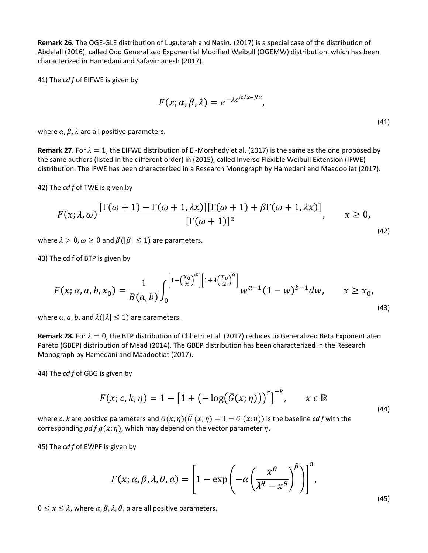**Remark 26.** The OGE-GLE distribution of Luguterah and Nasiru (2017) is a special case of the distribution of Abdelall (2016), called Odd Generalized Exponential Modified Weibull (OGEMW) distribution, which has been characterized in Hamedani and Safavimanesh (2017).

41) The *cd f* of EIFWE is given by

$$
F(x; \alpha, \beta, \lambda) = e^{-\lambda e^{\alpha/x - \beta x}},
$$
\n(41)

where  $\alpha$ ,  $\beta$ ,  $\lambda$  are all positive parameters.

**Remark 27**. For  $\lambda = 1$ , the EIFWE distribution of EI-Morshedy et al. (2017) is the same as the one proposed by the same authors (listed in the different order) in (2015), called Inverse Flexible Weibull Extension (IFWE) distribution. The IFWE has been characterized in a Research Monograph by Hamedani and Maadooliat (2017).

42) The *cd f* of TWE is given by

$$
F(x; \lambda, \omega) \frac{\Gamma(\omega + 1) - \Gamma(\omega + 1, \lambda x)\Gamma(\omega + 1) + \beta \Gamma(\omega + 1, \lambda x)}{\Gamma(\omega + 1)^2}, \qquad x \ge 0,
$$
\n(42)

where  $\lambda > 0$ ,  $\omega \ge 0$  and  $\beta(|\beta| \le 1)$  are parameters.

43) The cd f of BTP is given by

$$
F(x; \alpha, a, b, x_0) = \frac{1}{B(a, b)} \int_0^{\left[1 - \left(\frac{x_0}{x}\right)^{\alpha}\right] \left[1 + \lambda \left(\frac{x_0}{x}\right)^{\alpha}\right]} w^{\alpha - 1} (1 - w)^{b - 1} dw, \qquad x \ge x_0,
$$
\n
$$
(43)
$$

where  $\alpha$ ,  $a$ ,  $b$ , and  $\lambda(|\lambda| \leq 1)$  are parameters.

**Remark 28.** For  $\lambda = 0$ , the BTP distribution of Chhetri et al. (2017) reduces to Generalized Beta Exponentiated Pareto (GBEP) distribution of Mead (2014). The GBEP distribution has been characterized in the Research Monograph by Hamedani and Maadootiat (2017).

44) The *cd f* of GBG is given by

$$
F(x; c, k, \eta) = 1 - \left[1 + \left(-\log(\bar{G}(x; \eta))\right)^c\right]^{-k}, \qquad x \in \mathbb{R}
$$
\n<sup>(44)</sup>

where *c*, *k* are positive parameters and  $G(x; \eta)(\overline{G}(x; \eta) = 1 - G(x; \eta))$  is the baseline *cd* f with the corresponding *pd f*  $q(x; \eta)$ , which may depend on the vector parameter  $\eta$ .

45) The *cd f* of EWPF is given by

$$
F(x; \alpha, \beta, \lambda, \theta, a) = \left[1 - \exp\left(-\alpha \left(\frac{x^{\theta}}{\lambda^{\theta} - x^{\theta}}\right)^{\beta}\right)\right]^{a},
$$

 $0 \leq x \leq \lambda$ , where  $\alpha$ ,  $\beta$ ,  $\lambda$ ,  $\theta$ ,  $\alpha$  are all positive parameters.

(45)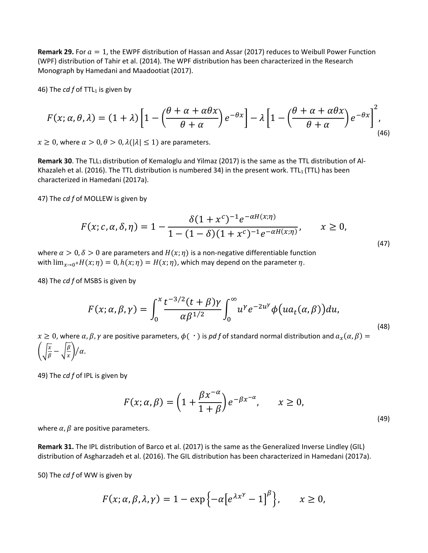**Remark 29.** For  $a = 1$ , the EWPF distribution of Hassan and Assar (2017) reduces to Weibull Power Function (WPF) distribution of Tahir et al. (2014). The WPF distribution has been characterized in the Research Monograph by Hamedani and Maadootiat (2017).

46) The  $cdf$  of TTL<sub>1</sub> is given by

$$
F(x; \alpha, \theta, \lambda) = (1 + \lambda) \left[ 1 - \left( \frac{\theta + \alpha + \alpha \theta x}{\theta + \alpha} \right) e^{-\theta x} \right] - \lambda \left[ 1 - \left( \frac{\theta + \alpha + \alpha \theta x}{\theta + \alpha} \right) e^{-\theta x} \right]^2,
$$
\n(46)

 $x \ge 0$ , where  $\alpha > 0$ ,  $\theta > 0$ ,  $\lambda(|\lambda| \le 1)$  are parameters.

**Remark 30**. The TLL1 distribution of Kemaloglu and Yilmaz (2017) is the same as the TTL distribution of Al-Khazaleh et al. (2016). The TTL distribution is numbered 34) in the present work. TTL<sub>1</sub> (TTL) has been characterized in Hamedani (2017a).

47) The *cd f* of MOLLEW is given by

$$
F(x; c, \alpha, \delta, \eta) = 1 - \frac{\delta (1 + x^c)^{-1} e^{-\alpha H(x; \eta)}}{1 - (1 - \delta)(1 + x^c)^{-1} e^{-\alpha H(x; \eta)}}, \qquad x \ge 0,
$$
\n(47)

where  $\alpha > 0$ ,  $\delta > 0$  are parameters and  $H(x; \eta)$  is a non-negative differentiable function with  $\lim_{x\to 0^+}H(x;\eta) = 0$ ,  $h(x;\eta) = H(x;\eta)$ , which may depend on the parameter  $\eta$ .

48) The *cd f* of MSBS is given by

$$
F(x; \alpha, \beta, \gamma) = \int_0^x \frac{t^{-3/2} (t + \beta) \gamma}{\alpha \beta^{1/2}} \int_0^\infty u^\gamma e^{-2u^\gamma} \phi(ua_t(\alpha, \beta)) du,
$$
\n(48)

 $x \geq 0$ , where  $\alpha, \beta, \gamma$  are positive parameters,  $\phi(\cdot)$  is pd f of standard normal distribution and  $a_x(\alpha, \beta) =$  $\left(\sqrt{\frac{x}{\beta}}-\sqrt{\frac{\beta}{x}}\right)/\alpha.$ 

49) The *cd f* of IPL is given by

$$
F(x; \alpha, \beta) = \left(1 + \frac{\beta x^{-\alpha}}{1+\beta}\right) e^{-\beta x^{-\alpha}}, \qquad x \ge 0,
$$
\n<sup>(49)</sup>

where  $\alpha$ ,  $\beta$  are positive parameters.

**Remark 31.** The IPL distribution of Barco et al. (2017) is the same as the Generalized Inverse Lindley (GIL) distribution of Asgharzadeh et al. (2016). The GIL distribution has been characterized in Hamedani (2017a).

50) The *cd f* of WW is given by

$$
F(x; \alpha, \beta, \lambda, \gamma) = 1 - \exp\left\{-\alpha \left[e^{\lambda x^{\gamma}} - 1\right]^{\beta}\right\}, \qquad x \ge 0,
$$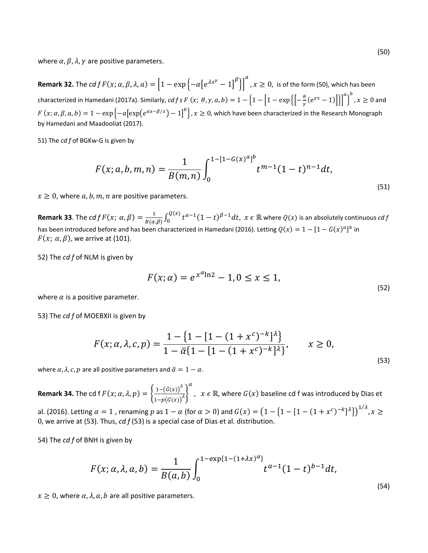where  $\alpha$ ,  $\beta$ ,  $\lambda$ ,  $\gamma$  are positive parameters.

**Remark 32.** The  $cdf F(x; \alpha, \beta, \lambda, a) = \left[1 - \exp \left\{-\alpha \left[e^{\lambda x^{\gamma}}-1\right]^{\beta}\right\}\right]$  $\alpha$ ,  $x \geq 0$ , is of the form (50), which has been characterized in Hamedani (2017a). Similarly, *cd f s F*  $(x; \theta, \gamma, a, b) = 1 - \left\{1 - \left[1 - \exp\left\{\left[-\frac{\theta}{\gamma}(e^{\gamma x} - 1)\right]\right\}\right]^a\right\}$  $\int_a^b$ ,  $x \geq 0$  and  $F\left(x;\alpha,\beta,a,b\right)=1-\exp\left\{-a\bigl[\exp\bigl(e^{\alpha x-\beta/x}\bigr)-1\bigr]^b\right\}, x\geq 0,$  which have been characterized in the Research Monograph by Hamedani and Maadooliat (2017).

51) The *cd f* of BGKw-G is given by

$$
F(x;a,b,m,n) = \frac{1}{B(m,n)} \int_0^{1-[1-G(x)^a]^b} t^{m-1} (1-t)^{n-1} dt,
$$
\n(51)

 $x \geq 0$ , where a, b, m, n are positive parameters.

**Remark 33**. The  $cdf F(x; \alpha, \beta) = \frac{1}{B(\alpha, \beta)} \int_0^{Q(x)} t^{\alpha-1} (1-t)^{\beta-1} dt$ ,  $x \in \mathbb{R}$  where  $Q(x)$  is an absolutely continuous  $cdf$ has been introduced before and has been characterized in Hamedani (2016). Letting  $Q(x) = 1 - [1 - G(x)^{a}]^{b}$  in  $F(x; \alpha, \beta)$ , we arrive at (101).

52) The *cd f* of NLM is given by

$$
F(x; \alpha) = e^{x^{\alpha} \ln 2} - 1, 0 \le x \le 1,
$$
\n(52)

where  $\alpha$  is a positive parameter.

53) The *cd f* of MOEBXII is given by

$$
F(x; \alpha, \lambda, c, p) = \frac{1 - \{1 - [1 - (1 + x^c)^{-k}]^{\lambda}\}}{1 - \overline{\alpha} \{1 - [1 - (1 + x^c)^{-k}]^{\lambda}\}}, \qquad x \ge 0,
$$
\n
$$
(53)
$$

where  $\alpha$ ,  $\lambda$ ,  $c$ ,  $p$  are all positive parameters and  $\bar{\alpha} = 1 - \alpha$ .

**Remark 34.** The cd f  $F(x; \alpha, \lambda, p) = \begin{cases} \frac{1 - (\bar{G}(x))^\lambda}{1 - \alpha(\bar{G}(x))^\lambda} \end{cases}$  $\frac{1-p(\bar{G}(x))^{2}}{1-p(\bar{G}(x))^{2}}$  $\alpha$ ,  $x \in \mathbb{R}$ , where  $G(x)$  baseline cd f was introduced by Dias et

al. (2016). Letting  $\alpha=1$  , renaming  $p$  as  $1-\alpha$  (for  $\alpha>0$ ) and  $G(x)=\left(1-\{1-[1-(1+x^c)^{-k}]\lambda\}\right)^{1/\lambda}$ ,  $x\geq$ 0, we arrive at (53). Thus, *cd f* (53) is a special case of Dias et al. distribution.

54) The *cd f* of BNH is given by

$$
F(x; \alpha, \lambda, a, b) = \frac{1}{B(a, b)} \int_0^{1 - \exp\{1 - (1 + \lambda x)^{\alpha}\}} t^{\alpha - 1} (1 - t)^{b - 1} dt,
$$

 $x \geq 0$ , where  $\alpha$ ,  $\lambda$ ,  $a$ ,  $b$  are all positive parameters.

(54)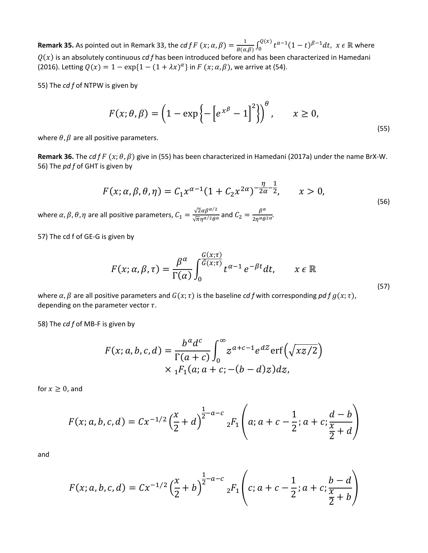**Remark 35.** As pointed out in Remark 33, the *cd f F*  $(x; \alpha, \beta) = \frac{1}{B(\alpha, \beta)} \int_0^{Q(x)} t^{\alpha-1} (1-t)^{\beta-1} dt$ ,  $x \in \mathbb{R}$  where  $Q(x)$  is an absolutely continuous *cd f* has been introduced before and has been characterized in Hamedani (2016). Letting  $Q(x) = 1 - \exp\{1 - (1 + \lambda x)^{\alpha}\}\$ in  $F(x; \alpha, \beta)$ , we arrive at (54).

55) The *cd f* of NTPW is given by

$$
F(x; \theta, \beta) = \left(1 - \exp\left\{-\left[e^{x^{\beta}} - 1\right]^{2}\right\}\right)^{\theta}, \qquad x \ge 0,
$$
\n<sup>(55)</sup>

where  $\theta$ ,  $\beta$  are all positive parameters.

**Remark 36.** The *cd f F*  $(x; \theta, \beta)$  give in (55) has been characterized in Hamedani (2017a) under the name BrX-W. 56) The *pd f* of GHT is given by

$$
F(x; \alpha, \beta, \theta, \eta) = C_1 x^{\alpha - 1} (1 + C_2 x^{2\alpha})^{-\frac{\eta}{2\alpha} - \frac{1}{2}}, \qquad x > 0,
$$
\n(56)

where  $\alpha$ ,  $\beta$ ,  $\theta$ ,  $\eta$  are all positive parameters,  $C_1 = \frac{\sqrt{2} \alpha \beta^{\alpha/2}}{\sqrt{\pi} \eta^{\alpha/2} \theta^{\alpha}}$  and  $C_2 = \frac{\beta^{\alpha}}{2 \eta^{\alpha} \theta^{2\alpha}}$ .

57) The cd f of GE-G is given by

$$
F(x; \alpha, \beta, \tau) = \frac{\beta^{\alpha}}{\Gamma(\alpha)} \int_0^{\frac{G(x; \tau)}{\overline{G}(x; \tau)}} t^{\alpha - 1} e^{-\beta t} dt, \qquad x \in \mathbb{R}
$$
\n(57)

where  $\alpha$ ,  $\beta$  are all positive parameters and  $G(x; \tau)$  is the baseline *cd f* with corresponding *pd f g*( $x; \tau$ ), depending on the parameter vector  $\tau$ .

58) The *cd f* of MB-F is given by

$$
F(x; a, b, c, d) = \frac{b^a d^c}{\Gamma(a + c)} \int_0^\infty z^{a+c-1} e^{d\mathcal{Z}} \operatorname{erf}\left(\sqrt{xz/2}\right)
$$
  
 
$$
\times {}_1F_1(a; a + c; -(b - d)z) dz,
$$

for  $x \geq 0$ , and

$$
F(x;a,b,c,d) = C x^{-1/2} \left(\frac{x}{2} + d\right)^{\frac{1}{2}-a-c} {}_{2}F_{1}\left(a; a+c-\frac{1}{2}; a+c; \frac{d-b}{\frac{x}{2}+d}\right)
$$

and

$$
F(x;a,b,c,d) = Cx^{-1/2} \left(\frac{x}{2} + b\right)^{\frac{1}{2}-a-c} {}_{2}F_{1}\left(c;a+c-\frac{1}{2};a+c;\frac{b-d}{\frac{x}{2}+b}\right)
$$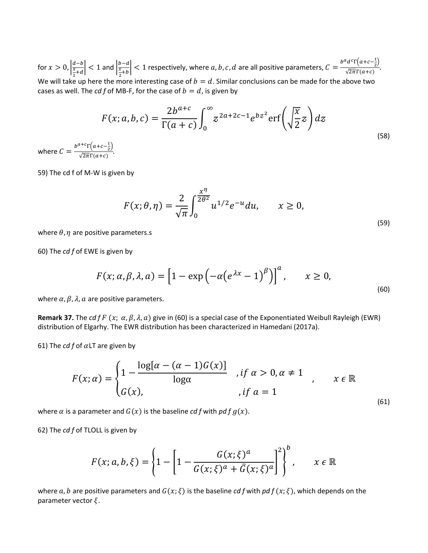for  $x > 0$ ,  $\frac{a-b}{\frac{x}{a+d}}$  $\left|\frac{\frac{a-b}{x}}{\frac{x}{2}+d}\right|$  < 1 and  $\left|\frac{\frac{b-a}{x}}{\frac{x}{2}+b}\right|$  $\left|\frac{b-d}{\frac{x}{2}+b}\right|$  < 1 respectively, where a, b, c, d are all positive parameters,  $C = \frac{b^ad^c\Gamma\left(a+c-\frac{1}{2}\right)}{\sqrt{2\pi}\Gamma(a+c)}$ . We will take up here the more interesting case of  $b = d$ . Similar conclusions can be made for the above two cases as well. The *cd f* of MB-F, for the case of  $b = d$ , is given by

$$
F(x;a,b,c) = \frac{2b^{a+c}}{\Gamma(a+c)} \int_0^\infty z^{2a+2c-1} e^{bz^2} \operatorname{erf}\left(\sqrt{\frac{x}{2}}z\right) dz
$$
\n
$$
\int_0^{a+c} \overline{\Gamma(a+c-\frac{1}{2})} \tag{58}
$$

where  $C = \frac{b^{a+c} \Gamma(a+c-\frac{1}{2})}{\sqrt{2\pi}\Gamma(a+c)}.$ 

59) The cd f of M-W is given by

$$
F(x; \theta, \eta) = \frac{2}{\sqrt{\pi}} \int_0^{\frac{x^{\eta}}{2\theta^2}} u^{1/2} e^{-u} du, \qquad x \ge 0,
$$
\n(59)

where  $\theta$ ,  $\eta$  are positive parameters.s

60) The *cd f* of EWE is given by

$$
F(x; \alpha, \beta, \lambda, a) = \left[1 - \exp\left(-\alpha \left(e^{\lambda x} - 1\right)^{\beta}\right)\right]^a, \qquad x \ge 0,
$$
\n<sup>(60)</sup>

where  $\alpha$ ,  $\beta$ ,  $\lambda$ ,  $\alpha$  are positive parameters.

**Remark 37.** The *cd f F* (x;  $\alpha$ ,  $\beta$ ,  $\lambda$ ,  $\alpha$ ) give in (60) is a special case of the Exponentiated Weibull Rayleigh (EWR) distribution of Elgarhy. The EWR distribution has been characterized in Hamedani (2017a).

61) The  $cdf$  of  $\alpha$ LT are given by

$$
F(x; \alpha) = \begin{cases} 1 - \frac{\log[\alpha - (\alpha - 1)G(x)]}{\log \alpha} & \text{if } \alpha > 0, \alpha \neq 1 \\ G(x), & \text{if } \alpha = 1 \end{cases} \quad x \in \mathbb{R} \tag{61}
$$

where  $\alpha$  is a parameter and  $G(x)$  is the baseline *cd f* with *pd f g(x)*.

62) The *cd f* of TLOLL is given by

$$
F(x; a, b, \xi) = \left\{1 - \left[1 - \frac{G(x; \xi)^a}{G(x; \xi)^a + \overline{G}(x; \xi)^a}\right]^2\right\}, \qquad x \in \mathbb{R}
$$

where a, b are positive parameters and  $G(x; \xi)$  is the baseline *cd f* with pd  $f(x; \xi)$ , which depends on the parameter vector  $\xi$ .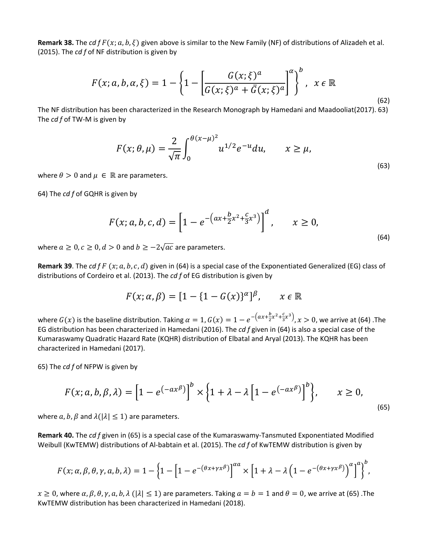**Remark 38.** The *cd f F (x; a, b,*  $\xi$ *)* given above is similar to the New Family (NF) of distributions of Alizadeh et al. (2015). The *cd f* of NF distribution is given by

$$
F(x;a,b,\alpha,\xi)=1-\left\{1-\left[\frac{G(x;\xi)^a}{G(x;\xi)^a+\bar{G}(x;\xi)^a}\right]^a\right\}^b, \quad x \in \mathbb{R}
$$

The NF distribution has been characterized in the Research Monograph by Hamedani and Maadooliat(2017). 63) The *cd f* of TW-M is given by

$$
F(x; \theta, \mu) = \frac{2}{\sqrt{\pi}} \int_0^{\theta(x-\mu)^2} u^{1/2} e^{-u} du, \qquad x \ge \mu,
$$
\n(63)

(62)

where  $\theta > 0$  and  $\mu \in \mathbb{R}$  are parameters.

64) The *cd f* of GQHR is given by

$$
F(x; a, b, c, d) = \left[1 - e^{-\left(ax + \frac{b}{2}x^{2} + \frac{c}{3}x^{3}\right)}\right]^{d}, \qquad x \ge 0,
$$
\n(64)

where  $a \geq 0$ ,  $c \geq 0$ ,  $d > 0$  and  $b \geq -2\sqrt{ac}$  are parameters.

**Remark 39**. The  $cdf F(x; a, b, c, d)$  given in (64) is a special case of the Exponentiated Generalized (EG) class of distributions of Cordeiro et al. (2013). The *cd f* of EG distribution is given by

$$
F(x; \alpha, \beta) = [1 - \{1 - G(x)\}^{\alpha}]^{\beta}, \qquad x \in \mathbb{R}
$$

where  $G(x)$  is the baseline distribution. Taking  $\alpha=1$ ,  $G(x)=1-e^{-\left(ax+\frac{b}{2}x^2+\frac{c}{3}x^3\right)}, x>0$ , we arrive at (64) .The EG distribution has been characterized in Hamedani (2016). The *cd f* given in (64) is also a special case of the Kumaraswamy Quadratic Hazard Rate (KQHR) distribution of Elbatal and Aryal (2013). The KQHR has been characterized in Hamedani (2017).

65) The *cd f* of NFPW is given by

$$
F(x; a, b, \beta, \lambda) = \left[1 - e^{(-ax^{\beta})}\right]^{b} \times \left\{1 + \lambda - \lambda\left[1 - e^{(-ax^{\beta})}\right]^{b}\right\}, \qquad x \ge 0,
$$
\n<sup>(65)</sup>

where  $a, b, \beta$  and  $\lambda(|\lambda| \leq 1)$  are parameters.

**Remark 40.** The *cd f* given in (65) is a special case of the Kumaraswamy-Tansmuted Exponentiated Modified Weibull (KwTEMW) distributions of Al-babtain et al. (2015). The *cd f* of KwTEMW distribution is given by

$$
F(x; \alpha, \beta, \theta, \gamma, a, b, \lambda) = 1 - \left\{1 - \left[1 - e^{-(\theta x + \gamma x^{\beta})}\right]^{\alpha a} \times \left[1 + \lambda - \lambda \left(1 - e^{-(\theta x + \gamma x^{\beta})}\right)^{\alpha}\right]^a\right\}^b,
$$

 $x \ge 0$ , where  $\alpha$ ,  $\beta$ ,  $\theta$ ,  $\gamma$ ,  $a$ ,  $b$ ,  $\lambda$  ( $|\lambda| \le 1$ ) are parameters. Taking  $a = b = 1$  and  $\theta = 0$ , we arrive at (65). The KwTEMW distribution has been characterized in Hamedani (2018).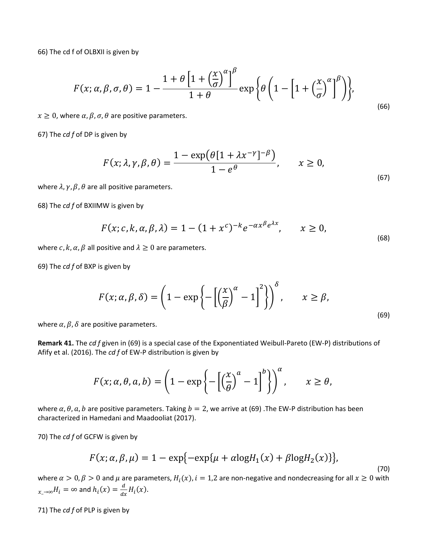66) The cd f of OLBXII is given by

$$
F(x; \alpha, \beta, \sigma, \theta) = 1 - \frac{1 + \theta \left[ 1 + \left( \frac{x}{\sigma} \right)^{\alpha} \right]^{\beta}}{1 + \theta} \exp \left\{ \theta \left( 1 - \left[ 1 + \left( \frac{x}{\sigma} \right)^{\alpha} \right]^{\beta} \right) \right\},\tag{66}
$$

 $x \geq 0$ , where  $\alpha$ ,  $\beta$ ,  $\sigma$ ,  $\theta$  are positive parameters.

67) The *cd f* of DP is given by

$$
F(x; \lambda, \gamma, \beta, \theta) = \frac{1 - \exp(\theta[1 + \lambda x^{-\gamma}]^{-\beta})}{1 - e^{\theta}}, \qquad x \ge 0,
$$
\n
$$
(67)
$$

where  $\lambda$ ,  $\gamma$ ,  $\beta$ ,  $\theta$  are all positive parameters.

68) The *cd f* of BXIIMW is given by

$$
F(x; c, k, \alpha, \beta, \lambda) = 1 - (1 + x^c)^{-k} e^{-\alpha x^{\beta} e^{\lambda x}}, \qquad x \ge 0,
$$
\n
$$
(68)
$$

where  $c, k, \alpha, \beta$  all positive and  $\lambda \geq 0$  are parameters.

69) The *cd f* of BXP is given by

$$
F(x; \alpha, \beta, \delta) = \left(1 - \exp\left\{-\left[\left(\frac{x}{\beta}\right)^{\alpha} - 1\right]^{2}\right\}\right)^{\delta}, \qquad x \ge \beta,
$$
\n(69)

where  $\alpha$ ,  $\beta$ ,  $\delta$  are positive parameters.

**Remark 41.** The *cd f* given in (69) is a special case of the Exponentiated Weibull-Pareto (EW-P) distributions of Afify et al. (2016). The *cd f* of EW-P distribution is given by

$$
F(x; \alpha, \theta, a, b) = \left(1 - \exp\left\{-\left[\left(\frac{x}{\theta}\right)^{\alpha} - 1\right]^b\right\}\right)^{\alpha}, \qquad x \ge \theta,
$$

where  $\alpha$ ,  $\theta$ ,  $\alpha$ ,  $b$  are positive parameters. Taking  $b = 2$ , we arrive at (69) .The EW-P distribution has been characterized in Hamedani and Maadooliat (2017).

70) The *cd f* of GCFW is given by

$$
F(x; \alpha, \beta, \mu) = 1 - \exp\{-\exp\{\mu + \alpha \log H_1(x) + \beta \log H_2(x)\}\},\tag{70}
$$

where  $\alpha > 0$ ,  $\beta > 0$  and  $\mu$  are parameters,  $H_i(x)$ ,  $i = 1,2$  are non-negative and nondecreasing for all  $x \ge 0$  with  $_{-\rightarrow\infty}H_{i}=\infty$  and  $h_{i}(x)=\frac{d}{dx}H_{i}(x)$ .

71) The *cd f* of PLP is given by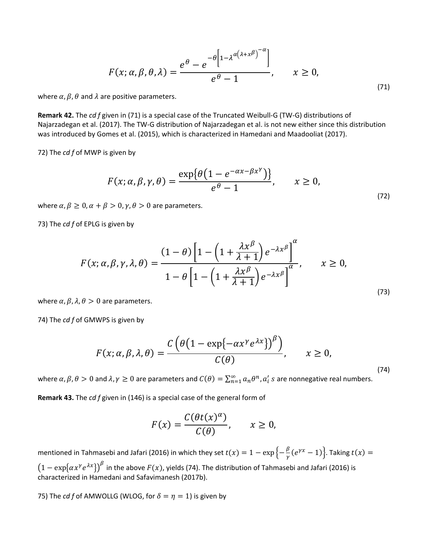$$
F(x; \alpha, \beta, \theta, \lambda) = \frac{e^{\theta} - e^{-\theta \left[1 - \lambda^{\alpha(\lambda + x^{\beta})^{-\alpha}}\right]}}{e^{\theta} - 1}, \qquad x \ge 0,
$$
\n<sup>(71)</sup>

where  $\alpha$ ,  $\beta$ ,  $\theta$  and  $\lambda$  are positive parameters.

**Remark 42.** The *cd f* given in (71) is a special case of the Truncated Weibull-G (TW-G) distributions of Najarzadegan et al. (2017). The TW-G distribution of Najarzadegan et al. is not new either since this distribution was introduced by Gomes et al. (2015), which is characterized in Hamedani and Maadooliat (2017).

72) The *cd f* of MWP is given by

$$
F(x; \alpha, \beta, \gamma, \theta) = \frac{\exp\{\theta(1 - e^{-\alpha x - \beta x^{\gamma}})\}}{e^{\theta} - 1}, \qquad x \ge 0,
$$
\n<sup>(72)</sup>

where  $\alpha$ ,  $\beta \geq 0$ ,  $\alpha + \beta > 0$ ,  $\gamma$ ,  $\theta > 0$  are parameters.

73) The *cd f* of EPLG is given by

$$
F(x; \alpha, \beta, \gamma, \lambda, \theta) = \frac{(1 - \theta) \left[ 1 - \left( 1 + \frac{\lambda x^{\beta}}{\lambda + 1} \right) e^{-\lambda x^{\beta}} \right]^{\alpha}}{1 - \theta \left[ 1 - \left( 1 + \frac{\lambda x^{\beta}}{\lambda + 1} \right) e^{-\lambda x^{\beta}} \right]^{\alpha}}, \qquad x \ge 0,
$$
\n(73)

where  $\alpha$ ,  $\beta$ ,  $\lambda$ ,  $\theta > 0$  are parameters.

74) The *cd f* of GMWPS is given by

$$
F(x; \alpha, \beta, \lambda, \theta) = \frac{C\left(\theta\left(1 - \exp\{-\alpha x^{\gamma} e^{\lambda x}\}\right)^{\beta}\right)}{C(\theta)}, \qquad x \ge 0,
$$
\n(74)

where  $\alpha, \beta, \theta > 0$  and  $\lambda, \gamma \ge 0$  are parameters and  $C(\theta) = \sum_{n=1}^{\infty} a_n \theta^n$ ,  $a'_i$  s are nonnegative real numbers.

**Remark 43.** The *cd f* given in (146) is a special case of the general form of

$$
F(x) = \frac{C(\theta t(x)^{\alpha})}{C(\theta)}, \qquad x \ge 0,
$$

mentioned in Tahmasebi and Jafari (2016) in which they set  $t(x) = 1 - \exp\left\{-\frac{\beta}{\gamma}(e^{\gamma x} - 1)\right\}$ . Taking  $t(x) =$  $\big(1-\exp\{\alpha x^\gamma e^{\lambda x}\}\big)^\beta$  in the above  $F(x)$ , yields (74). The distribution of Tahmasebi and Jafari (2016) is characterized in Hamedani and Safavimanesh (2017b).

75) The *cd f* of AMWOLLG (WLOG, for  $\delta = \eta = 1$ ) is given by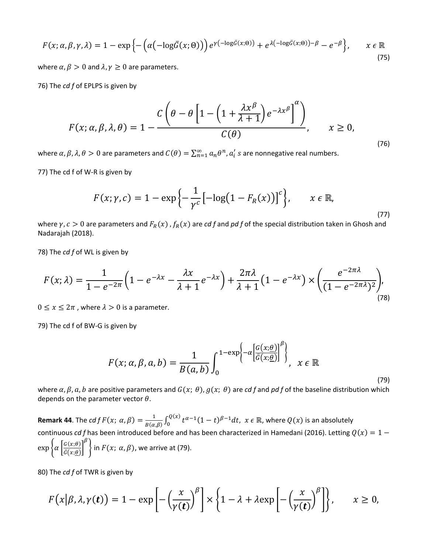$$
F(x; \alpha, \beta, \gamma, \lambda) = 1 - \exp\left\{-\left(\alpha\left(-\log\bar{G}(x; \theta)\right)\right)e^{\gamma\left(-\log\bar{G}(x; \theta)\right)} + e^{\lambda\left(-\log\bar{G}(x; \theta)\right) - \beta} - e^{-\beta}\right\}, \qquad x \in \mathbb{R}
$$
\n(75)

where  $\alpha$ ,  $\beta > 0$  and  $\lambda$ ,  $\gamma \geq 0$  are parameters.

76) The *cd f* of EPLPS is given by

$$
F(x; \alpha, \beta, \lambda, \theta) = 1 - \frac{C\left(\theta - \theta \left[1 - \left(1 + \frac{\lambda x^{\beta}}{\lambda + 1}\right)e^{-\lambda x^{\beta}}\right]^{a}\right)}{C(\theta)}, \quad x \ge 0,
$$
\n(76)

where  $\alpha, \beta, \lambda, \theta > 0$  are parameters and  $C(\theta) = \sum_{n=1}^{\infty} a_n \theta^n$ ,  $a'_i$  s are nonnegative real numbers.

77) The cd f of W-R is given by

$$
F(x; \gamma, c) = 1 - \exp\left\{-\frac{1}{\gamma^c} \left[-\log(1 - F_R(x))\right]^c\right\}, \qquad x \in \mathbb{R},
$$
\n(77)

where  $\gamma$ ,  $c > 0$  are parameters and  $F_R(x)$ ,  $f_R(x)$  are *cd f* and *pd f* of the special distribution taken in Ghosh and Nadarajah (2018).

78) The *cd f* of WL is given by

$$
F(x; \lambda) = \frac{1}{1 - e^{-2\pi}} \left( 1 - e^{-\lambda x} - \frac{\lambda x}{\lambda + 1} e^{-\lambda x} \right) + \frac{2\pi \lambda}{\lambda + 1} \left( 1 - e^{-\lambda x} \right) \times \left( \frac{e^{-2\pi \lambda}}{(1 - e^{-2\pi \lambda})^2} \right),\tag{78}
$$

 $0 \le x \le 2\pi$ , where  $\lambda > 0$  is a parameter.

79) The cd f of BW-G is given by

$$
F(x; \alpha, \beta, a, b) = \frac{1}{B(a, b)} \int_0^{1 - \exp\left\{-\alpha \left[\frac{G(x; \theta)}{\bar{G}(x; \theta)}\right]^{\beta}\right\}}, \quad x \in \mathbb{R}
$$

(79)

where  $\alpha$ ,  $\beta$ ,  $\alpha$ ,  $b$  are positive parameters and  $G(x; \theta)$ ,  $g(x; \theta)$  are *cd f* and *pd f* of the baseline distribution which depends on the parameter vector  $\theta$ .

**Remark 44**. The  $cdfF(x; \alpha, \beta) = \frac{1}{B(\alpha, \beta)} \int_0^{Q(x)} t^{\alpha-1} (1-t)^{\beta-1} dt$ ,  $x \in \mathbb{R}$ , where  $Q(x)$  is an absolutely continuous *cd f* has been introduced before and has been characterized in Hamedani (2016). Letting  $Q(x) = 1 \exp \left\{ \alpha \left| \frac{G(x;\theta)}{\bar{G}(x;\theta)} \right. \right.$  $\frac{\overbrace{\overbrace{\overline{G}}(x;\theta)}}{\overline{G}(x;\theta)}$  $\left\{\beta\right\}$  in  $F(x; \alpha, \beta)$ , we arrive at (79).

80) The *cd f* of TWR is given by

$$
F(x|\beta,\lambda,\gamma(t)) = 1 - \exp\left[-\left(\frac{x}{\gamma(t)}\right)^{\beta}\right] \times \left\{1 - \lambda + \lambda \exp\left[-\left(\frac{x}{\gamma(t)}\right)^{\beta}\right]\right\}, \qquad x \ge 0,
$$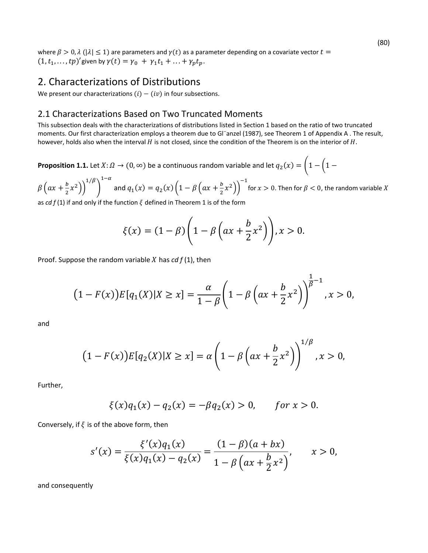where  $\beta > 0$ ,  $\lambda$  ( $|\lambda| \le 1$ ) are parameters and  $\gamma(t)$  as a parameter depending on a covariate vector  $t =$  $(1, t_1, \ldots, tp)'$  given by  $\gamma(t) = \gamma_0 + \gamma_1 t_1 + \ldots + \gamma_p t_p$ .

#### 2. Characterizations of Distributions

We present our characterizations  $(i) - (iv)$  in four subsections.

#### 2.1 Characterizations Based on Two Truncated Moments

This subsection deals with the characterizations of distributions listed in Section 1 based on the ratio of two truncated moments. Our first characterization employs a theorem due to Gl¨anzel (1987), see Theorem 1 of Appendix A . The result, however, holds also when the interval  $H$  is not closed, since the condition of the Theorem is on the interior of  $H$ .

**Proposition 1.1.** Let  $X: \Omega \to (0, \infty)$  be a continuous random variable and let  $q_2(x) = \left(1 - \left(1 - \frac{1}{x}\right)^2\right)$ 

 $\beta\left(ax+\frac{b}{2}x^2\right)\bigg)^{1/\beta}$  $\big)$  $1-\alpha$ and  $q_1(x) = q_2(x) \left(1 - \beta \left(ax + \frac{b}{2}x^2\right)\right)^{-1}$ for  $x > 0$ . Then for  $\beta < 0$ , the random variable X

as *cd*  $f(1)$  if and only if the function  $\xi$  defined in Theorem 1 is of the form

$$
\xi(x) = (1 - \beta) \left( 1 - \beta \left( ax + \frac{b}{2} x^2 \right) \right), x > 0.
$$

Proof. Suppose the random variable  $X$  has  $\frac{cd}{f(1)}$ , then

$$
(1 - F(x))E[q_1(X)|X \ge x] = \frac{\alpha}{1 - \beta} \left(1 - \beta \left(ax + \frac{b}{2}x^2\right)\right)^{\frac{1}{\beta} - 1}, x > 0,
$$

and

$$
(1 - F(x))E[q_2(X)|X \ge x] = \alpha \left(1 - \beta \left(ax + \frac{b}{2}x^2\right)\right)^{1/\beta}, x > 0,
$$

Further,

$$
\xi(x)q_1(x) - q_2(x) = -\beta q_2(x) > 0, \quad \text{for } x > 0.
$$

Conversely, if  $\xi$  is of the above form, then

$$
s'(x) = \frac{\xi'(x)q_1(x)}{\xi(x)q_1(x) - q_2(x)} = \frac{(1-\beta)(a+bx)}{1-\beta\left(ax+\frac{b}{2}x^2\right)}, \qquad x > 0,
$$

and consequently

(80)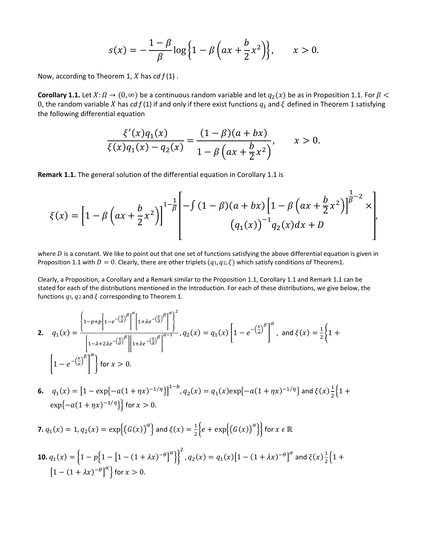$$
s(x) = -\frac{1-\beta}{\beta}\log\left\{1-\beta\left(ax+\frac{b}{2}x^2\right)\right\}, \qquad x > 0.
$$

Now, according to Theorem 1, *X* has *cd*  $f(1)$ .

**Corollary 1.1.** Let  $X: \Omega \to (0, \infty)$  be a continuous random variable and let  $q_2(x)$  be as in Proposition 1.1. For  $\beta$ 0, the random variable X has *cd f* (1) if and only if there exist functions  $q_1$  and  $\zeta$  defined in Theorem 1 satisfying the following differential equation

$$
\frac{\xi'(x)q_1(x)}{\xi(x)q_1(x)-q_2(x)} = \frac{(1-\beta)(a+bx)}{1-\beta\left(ax+\frac{b}{2}x^2\right)}, \qquad x > 0.
$$

**Remark 1.1.** The general solution of the differential equation in Corollary 1.1 is

$$
\xi(x) = \left[1 - \beta \left(ax + \frac{b}{2}x^2\right)\right]^{1 - \frac{1}{\beta}} \left[-\int (1 - \beta)(a + bx)\left[1 - \beta \left(ax + \frac{b}{2}x^2\right)\right]^{\frac{1}{\beta} - 2} x\right],
$$
  

$$
(q_1(x))^{-1} q_2(x) dx + D
$$

where  $D$  is a constant. We like to point out that one set of functions satisfying the above differential equation is given in Proposition 1.1 with  $D = 0$ . Clearly, there are other triplets  $(q_1, q_2, \xi)$  which satisfy conditions of Theorem1.

Clearly, a Proposition, a Corollary and a Remark similar to the Proposition 1.1, Corollary 1.1 and Remark 1.1 can be stated for each of the distributions mentioned in the Introduction. For each of these distributions, we give below, the functions  $q_1$ ,  $q_2$  and  $\zeta$  corresponding to Theorem 1.

$$
2. \quad q_1(x) = \frac{\left\{1 - p + p \left[1 - e^{-\left(\frac{x}{\sigma}\right)^{\beta}}\right]^{\alpha} \left[1 + \lambda e^{-\left(\frac{x}{\sigma}\right)^{\beta}}\right]^{\alpha}}}{\left[1 - \lambda + 2\lambda e^{-\left(\frac{x}{\sigma}\right)^{\beta}}\right] \left[1 + \lambda e^{-\left(\frac{x}{\sigma}\right)^{\beta}}\right]^{\alpha-1}}, q_2(x) = q_1(x) \left[1 - e^{-\left(\frac{x}{\sigma}\right)^{\beta}}\right]^{\alpha}, \text{ and } \xi(x) = \frac{1}{2} \left\{1 + \left[1 - e^{-\left(\frac{x}{\sigma}\right)^{\beta}}\right]^{\alpha}\right\} \text{ for } x > 0.
$$

**6.**  $q_1(x) = \left[1 - \exp\{-a(1 + \eta x)^{-1/\eta}\}\right]^{1-b}, q_2(x) = q_1(x) \exp\{-a(1 + \eta x)^{-1/\eta}\}\$ and  $\xi(x) \frac{1}{2} \left\{1 + \frac{1}{2}a(1 + \eta x)^{-1/\eta}\right\}$  $\exp\{-a(1 + \eta x)^{-1/\eta}\}\$  for  $x > 0$ .

**7.** 
$$
q_1(x) = 1
$$
,  $q_2(x) = \exp\{(G(x))^{\alpha}\}\$  and  $\xi(x) = \frac{1}{2}\Big\{e + \exp\{(G(x))^{\alpha}\}\Big\}$  for  $x \in \mathbb{R}$ 

**10.** 
$$
q_1(x) = \left\{ 1 - p \left\{ 1 - \left[ 1 - (1 + \lambda x)^{-\theta} \right]^\alpha \right\} \right\}^2
$$
,  $q_2(x) = q_1(x) \left[ 1 - (1 + \lambda x)^{-\theta} \right]^\alpha$  and  $\xi(x) \frac{1}{2} \left\{ 1 + \left[ 1 - (1 + \lambda x)^{-\theta} \right]^\alpha \right\}$  for  $x > 0$ .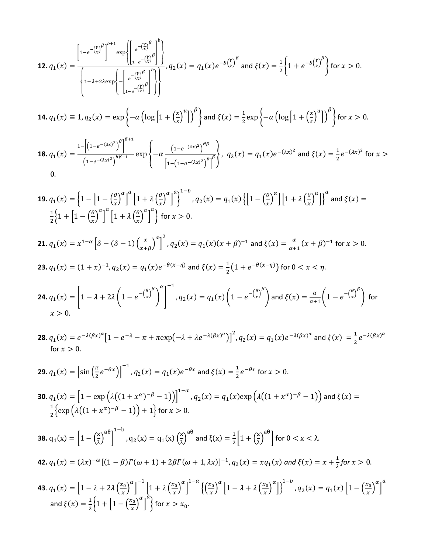$$
12. \ q_1(x) = \frac{\left[1 - e^{-\left(\frac{x}{x}\right)^{\beta}}\right]^{b+1} \exp\left\{\left[\frac{e^{-\left(\frac{x}{x}\right)^{\beta}}}{1 - e^{-\left(\frac{x}{x}\right)^{\beta}}}\right]^{b}}{1 - \lambda + 2\lambda \exp\left\{-\left[\frac{e^{-\left(\frac{x}{x}\right)^{\beta}}}{1 - e^{-\left(\frac{x}{x}\right)^{\beta}}}\right]^{b}}\right\}, q_2(x) = q_1(x)e^{-b\left(\frac{x}{x}\right)^{\beta}} \text{ and } \xi(x) = \frac{1}{2}\left\{1 + e^{-b\left(\frac{x}{x}\right)^{\beta}}\right\} \text{ for } x > 0.
$$
\n
$$
14. \ q_1(x) \equiv 1, q_2(x) = \exp\left\{-a\left(\log\left[1 + \left(\frac{x}{s}\right)^{u}\right]\right)^{\beta}\right\} \text{ and } \xi(x) = \frac{1}{2}\exp\left\{-a\left(\log\left[1 + \left(\frac{x}{s}\right)^{u}\right]\right)^{\beta}\right\} \text{ for } x > 0.
$$
\n
$$
18. \ q_1(x) = \frac{1 - \left[\left(1 - e^{-(\lambda x)^2}\right)^{\beta}\right]^{b+1}}{\left(1 - e^{-(\lambda x)^2}\right)^{\beta\beta-1}} \exp\left\{-\alpha\frac{\left(1 - e^{-(\lambda x)^2}\right)^{\beta\beta}}{\left[1 - \left(1 - e^{-(\lambda x)^2}\right)^{\beta}\right]^{\beta}}\right\}, q_2(x) = q_1(x)e^{-(\lambda x)^2} \text{ and } \xi(x) = \frac{1}{2}e^{-(\lambda x)^2} \text{ for } x > 0.
$$
\n
$$
0.
$$

19. 
$$
q_1(x) = \left\{1 - \left[1 - \left(\frac{\rho}{x}\right)^{\alpha}\right]^{\alpha}\left[1 + \lambda \left(\frac{\rho}{x}\right)^{\alpha}\right]^{1-b}, q_2(x) = q_1(x)\left\{\left[1 - \left(\frac{\rho}{x}\right)^{\alpha}\right]\right\}^{\alpha}\right\} \text{ and } \xi(x) = \frac{1}{2}\left\{1 + \left[1 - \left(\frac{\rho}{x}\right)^{\alpha}\right]^{\alpha}\left[1 + \lambda \left(\frac{\rho}{x}\right)^{\alpha}\right]^{\alpha}\right\} \text{ for } x > 0.
$$
  
\n21.  $q_1(x) = x^{1-\alpha}\left[\delta - (\delta - 1)\left(\frac{x}{x+\beta}\right)^{\alpha}\right]^2, q_2(x) = q_1(x)(x+\beta)^{-1} \text{ and } \xi(x) = \frac{\alpha}{\alpha+1}(x+\beta)^{-1} \text{ for } x > 0.$   
\n23.  $q_1(x) = (1+x)^{-1}, q_2(x) = q_1(x)e^{-\theta(x-\eta)} \text{ and } \xi(x) = \frac{1}{2}\left(1 + e^{-\theta(x-\eta)}\right) \text{ for } 0 < x < \eta.$   
\n24.  $q_1(x) = \left[1 - \lambda + 2\lambda\left(1 - e^{-\left(\frac{\rho}{x}\right)^{\beta}}\right)^{\alpha}\right]^{-1}, q_2(x) = q_1(x)\left(1 - e^{-\left(\frac{\rho}{x}\right)^{\beta}}\right) \text{ and } \xi(x) = \frac{\alpha}{\alpha+1}\left(1 - e^{-\left(\frac{\rho}{x}\right)^{\beta}}\right) \text{ for } x > 0.$   
\n28.  $q_1(x) = e^{-\lambda(\beta x)^{\alpha}}\left[1 - e^{-\lambda} - \pi + \text{max}(1 - \lambda + \lambda e^{-\lambda(\beta x)^{\alpha}}\right]^2, q_2(x) = q_1(x)e^{-\lambda(\beta x)^{\alpha}} \text{ and } \xi(x) = \frac{1}{2}e^{-\lambda(\beta x)^{\alpha}} \text{ for } x > 0.$   
\n29.  $q_1(x) = \left[\sin\left(\frac{\pi}{2}e^{-\theta x}\right)\right]^{-1}, q_2(x) = q_1(x)e^{-\theta x}$  and  $\xi(x) = \frac{1}{2}e^{-\theta x}$  for  $x > 0.$   
\n30

**43.** 
$$
q_1(x) = \left[1 - \lambda + 2\lambda \left(\frac{x_0}{x}\right)^{\alpha}\right]^{-1} \left[1 + \lambda \left(\frac{x_0}{x}\right)^{\alpha}\right]^{-\alpha} \left\{\left(\frac{x_0}{x}\right)^{\alpha} \left[1 - \lambda + \lambda \left(\frac{x_0}{x}\right)^{\alpha}\right]\right\}^{-\beta}, q_2(x) = q_1(x) \left[1 - \left(\frac{x_0}{x}\right)^{\alpha}\right]^{\alpha}
$$
  
and  $\xi(x) = \frac{1}{2} \left\{1 + \left[1 - \left(\frac{x_0}{x}\right)^{\alpha}\right]^{\alpha}\right\}$  for  $x > x_0$ .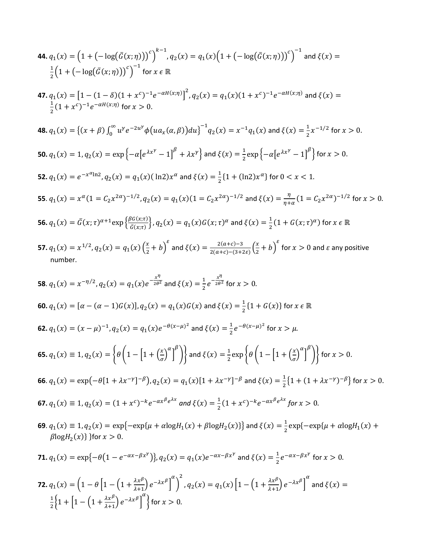44. 
$$
q_1(x) = (1 + (-\log(G(x;\eta)))^c)^{k-1}
$$
,  $q_2(x) = q_1(x)(1 + (-\log(G(x;\eta)))^c)^{-1}$  and  $\xi(x) = \frac{1}{2}(1 + (-\log(G(x;\eta)))^c)^{-1}$  for  $x \in \mathbb{R}$   
\n47.  $q_1(x) = [1 - (1 - \delta)(1 + x^c)^{-1}e^{-\alpha t/(x;\eta)})^2$ ,  $q_2(x) = q_1(x)(1 + x^c)^{-1}e^{-\alpha t/(x;\eta)}$  and  $\xi(x) = \frac{1}{2}(1 + x^c)^{-1}e^{-\alpha t/(x;\eta)}$  for  $x > 0$ .  
\n48.  $q_1(x) = \{(x + \beta)\int_0^\infty u^y e^{-2u^y} \phi(ua_x(\alpha, \beta))du\}^{-1}q_2(x) = x^{-1}q_1(x)$  and  $\xi(x) = \frac{1}{2}x^{-1/2}$  for  $x > 0$ .  
\n50.  $q_1(x) = 1$ ,  $q_2(x) = \exp(-\alpha[e^{4x^y} - 1]^{\beta} + \lambda x^y]$  and  $\xi(x) = \frac{1}{2}\exp(-\alpha[e^{4x^y} - 1]^{\beta}]$  for  $x > 0$ .  
\n51.  $q_1(x) = e^{-x^{\alpha} \ln 2}$ ,  $q_2(x) = q_1(x)(\ln 2)x^{\alpha}$  and  $\xi(x) = \frac{1}{2}(\ln 4(\ln 2)x^{\alpha})$  for  $0 < x < 1$ .  
\n55.  $q_1(x) = x^{\alpha}(1 = C_2x^{2\alpha})^{-1/2}$ ,  $q_2(x) = q_1(x)(1 = C_2x^{2\alpha})^{-1/2}$  and  $\xi(x) = \frac{\pi}{n}a(1 = C_2x^{2\alpha})^{-1/2}$  for  $x > 0$ .  
\n56.  $q_1(x) = \overline{a}(x; \tau)^{\alpha+1} \exp\left\{\frac{\beta(\sigma(x;\tau))}{\zeta(x;\tau)}\right\}$ ,  $q_2(x) = q_1(x)G(x; \tau)^{\alpha}$  and  $\xi(x) = \frac{1}{$ 

 $\frac{1}{2}\left\{1+\left[1-\left(1+\frac{\lambda x^{\beta}}{\lambda+1}\right)e^{-\lambda x^{\beta}}\right]\right\}$ 

 $\alpha$  for  $x > 0$ .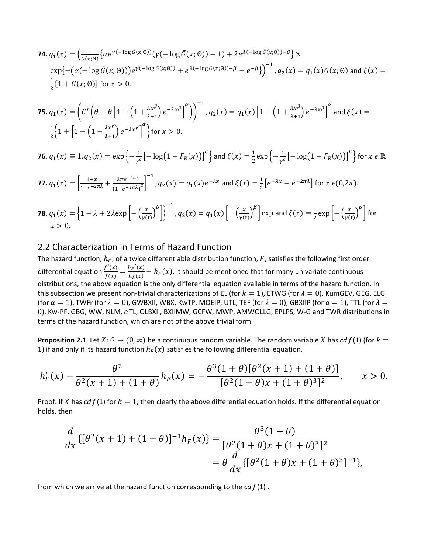**74.** 
$$
q_1(x) = \left(\frac{1}{\bar{G}(x;\theta)} \left\{ \alpha e^{\gamma(-\log \bar{G}(x;\theta))} (\gamma(-\log \bar{G}(x;\theta)) + 1) + \lambda e^{\lambda(-\log \bar{G}(x;\theta)) - \beta} \right\} \times \exp\left\{ -\left(\alpha(-\log \bar{G}(x;\theta))\right) e^{\gamma(-\log \bar{G}(x;\theta))} + e^{\lambda(-\log \bar{G}(x;\theta)) - \beta} - e^{-\beta} \right\} \right\}^{-1}, q_2(x) = q_1(x)G(x;\theta) \text{ and } \xi(x) = \frac{1}{2} \{1 + G(x;\theta)\} \text{ for } x > 0.
$$

**75.** 
$$
q_1(x) = \left( C' \left( \theta - \theta \left[ 1 - \left( 1 + \frac{\lambda x^{\beta}}{\lambda + 1} \right) e^{-\lambda x^{\beta}} \right]^{\alpha} \right) \right)^{-1}
$$
,  $q_2(x) = q_1(x) \left[ 1 - \left( 1 + \frac{\lambda x^{\beta}}{\lambda + 1} \right) e^{-\lambda x^{\beta}} \right]^{\alpha}$  and  $\xi(x) = \frac{1}{2} \left\{ 1 + \left[ 1 - \left( 1 + \frac{\lambda x^{\beta}}{\lambda + 1} \right) e^{-\lambda x^{\beta}} \right]^{\alpha} \right\}$  for  $x > 0$ .

**76.** 
$$
q_1(x) \equiv 1
$$
,  $q_2(x) = \exp\left\{-\frac{1}{r^c} \left[-\log(1 - F_R(x))\right]^c\right\}$  and  $\xi(x) = \frac{1}{2} \exp\left\{-\frac{1}{r^c} \left[-\log(1 - F_R(x))\right]^c\right\}$  for  $x \in \mathbb{R}$ 

**77.** 
$$
q_1(x) = \left[\frac{1+x}{1-e^{-2\pi\lambda}} + \frac{2\pi e^{-2\pi\lambda}}{(1-e^{-2\pi\lambda})^2}\right]^{-1}
$$
,  $q_2(x) = q_1(x)e^{-\lambda x}$  and  $\xi(x) = \frac{1}{2}\left[e^{-\lambda x} + e^{-2\pi\lambda}\right]$  for  $x \in (0, 2\pi)$ .

**78.** 
$$
q_1(x) = \left\{1 - \lambda + 2\lambda \exp\left[-\left(\frac{x}{\gamma(t)}\right)^{\beta}\right]\right\}^{-1}
$$
,  $q_2(x) = q_1(x) \left[-\left(\frac{x}{\gamma(t)}\right)^{\beta}\right] \exp\left(\frac{x}{\gamma(t)}\right) = \frac{1}{2} \exp\left[-\left(\frac{x}{\gamma(t)}\right)^{\beta}\right]$  for  $x > 0$ .

#### 2.2 Characterization in Terms of Hazard Function

The hazard function,  $h_F$ , of a twice differentiable distribution function, F, satisfies the following first order differential equation  $\frac{f'(x)}{f(x)} = \frac{h_F'(x)}{h_F(x)} - h_F(x)$ . It should be mentioned that for many univariate continuous distributions, the above equation is the only differential equation available in terms of the hazard function. In this subsection we present non-trivial characterizations of EL (for  $k = 1$ ), ETWG (for  $\lambda = 0$ ), KumGEV, GEG, ELG (for  $\alpha = 1$ ), TWFr (for  $\lambda = 0$ ), GWBXII, WBX, KwTP, MOEIP, UTL, TEF (for  $\lambda = 0$ ), GBXIIP (for  $\alpha = 1$ ), TTL (for  $\lambda = 0$ 0), Kw-PF, GBG, WW, NLM,  $\alpha$ TL, OLBXII, BXIIMW, GCFW, MWP, AMWOLLG, EPLPS, W-G and TWR distributions in terms of the hazard function, which are not of the above trivial form.

**Proposition 2.1**. Let  $X: \Omega \to (0, \infty)$  be a continuous random variable. The random variable X has *cd f* (1) (for  $k =$ 1) if and only if its hazard function  $h_F(x)$  satisfies the following differential equation.

$$
h'_F(x) - \frac{\theta^2}{\theta^2(x+1) + (1+\theta)} h_F(x) = -\frac{\theta^3(1+\theta)[\theta^2(x+1) + (1+\theta)]}{[\theta^2(1+\theta)x + (1+\theta)^3]^2}, \qquad x > 0.
$$

Proof. If X has  $cd f(1)$  for  $k = 1$ , then clearly the above differential equation holds. If the differential equation holds, then

$$
\frac{d}{dx}\{[\theta^2(x+1)+(1+\theta)]^{-1}h_F(x)\} = \frac{\theta^3(1+\theta)}{[\theta^2(1+\theta)x+(1+\theta)^3]^2}
$$

$$
= \theta \frac{d}{dx}\{[\theta^2(1+\theta)x+(1+\theta)^3]^{-1}\},\
$$

from which we arrive at the hazard function corresponding to the *cd f* (1) .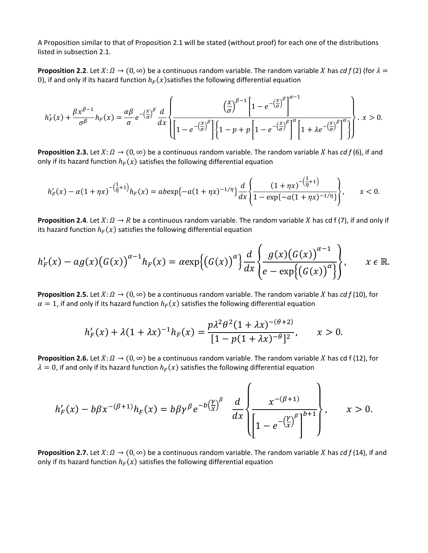A Proposition similar to that of Proposition 2.1 will be stated (without proof) for each one of the distributions listed in subsection 2.1.

**Proposition 2.2.** Let  $X: \Omega \to (0, \infty)$  be a continuous random variable. The random variable X has *cd f* (2) (for  $\lambda =$ 0), if and only if its hazard function  $h_F(x)$ satisfies the following differential equation

$$
h'_{F}(x) + \frac{\beta x^{\beta-1}}{\sigma^{\beta}} h_{F}(x) = \frac{\alpha \beta}{\sigma} e^{-\left(\frac{x}{\sigma}\right)^{\beta}} \frac{d}{dx} \left\{ \frac{\left(\frac{x}{\sigma}\right)^{\beta-1} \left[1 - e^{-\left(\frac{x}{\sigma}\right)^{\beta}}\right]^{\alpha-1}}{\left[1 - e^{-\left(\frac{x}{\sigma}\right)^{\beta}}\right] \left\{1 - p + p\left[1 - e^{-\left(\frac{x}{\sigma}\right)^{\beta}}\right]^{\alpha} \left[1 + \lambda e^{-\left(\frac{x}{\sigma}\right)^{\beta}}\right]^{\alpha}}\right\} \cdot x > 0.
$$

**Proposition 2.3.** Let  $X: \Omega \to (0, \infty)$  be a continuous random variable. The random variable X has *cd*  $f(6)$ , if and only if its hazard function  $h_F(x)$  satisfies the following differential equation

$$
h'_F(x) - \alpha (1 + \eta x)^{-(\frac{1}{\eta} + 1)} h_F(x) = ab \exp\{-\alpha (1 + \eta x)^{-1/\eta}\} \frac{d}{dx} \left\{ \frac{(1 + \eta x)^{-(\frac{1}{\eta} + 1)}}{1 - \exp\{-\alpha (1 + \eta x)^{-1/\eta}\}} \right\}, \qquad x < 0.
$$

**Proposition 2.4**. Let  $X: \Omega \to R$  be a continuous random variable. The random variable X has cd f (7), if and only if its hazard function  $h_F(x)$  satisfies the following differential equation

$$
h'_{F}(x) - ag(x)\big(G(x)\big)^{\alpha-1}h_{F}(x) = \alpha \exp\big\{\big(G(x)\big)^{\alpha}\big\}\frac{d}{dx}\left\{\frac{g(x)\big(G(x)\big)^{\alpha-1}}{e-\exp\big\{\big(G(x)\big)^{\alpha}\big\}}\right\}, \qquad x \in \mathbb{R}.
$$

**Proposition 2.5.** Let  $X: \Omega \to (0, \infty)$  be a continuous random variable. The random variable X has *cd*  $f(10)$ , for  $\alpha = 1$ , if and only if its hazard function  $h_F(x)$  satisfies the following differential equation

$$
h'_{F}(x) + \lambda (1 + \lambda x)^{-1} h_{F}(x) = \frac{p\lambda^{2} \theta^{2} (1 + \lambda x)^{-(\theta+2)}}{[1 - p(1 + \lambda x)^{-\theta}]^{2}}, \qquad x > 0.
$$

**Proposition 2.6.** Let  $X: \Omega \to (0, \infty)$  be a continuous random variable. The random variable X has cd f (12), for  $\lambda = 0$ , if and only if its hazard function  $h_F(x)$  satisfies the following differential equation

$$
h'_F(x) - b\beta x^{-(\beta+1)}h_F(x) = b\beta\gamma^{\beta}e^{-b(\frac{\gamma}{x})^{\beta}} \frac{d}{dx}\left\{\frac{x^{-(\beta+1)}}{\left[1-e^{-(\frac{\gamma}{x})^{\beta}}\right]^{b+1}}\right\}, \qquad x > 0.
$$

**Proposition 2.7.** Let  $X: \Omega \to (0, \infty)$  be a continuous random variable. The random variable X has *cd f* (14), if and only if its hazard function  $h_F(x)$  satisfies the following differential equation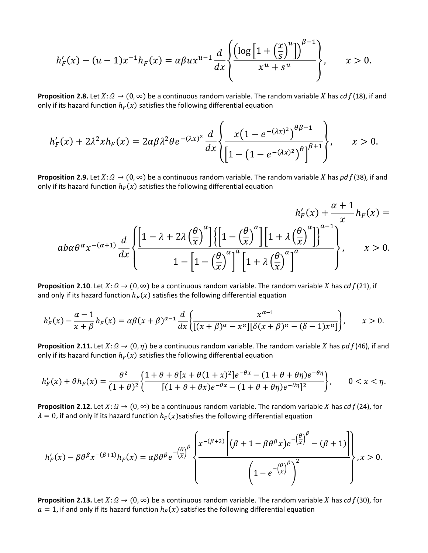$$
h'_{F}(x) - (u - 1)x^{-1}h_{F}(x) = \alpha \beta u x^{u-1} \frac{d}{dx} \left\{ \frac{\left( \log \left[ 1 + \left( \frac{x}{s} \right)^{u} \right] \right)^{\beta - 1}}{x^{u} + s^{u}} \right\}, \qquad x > 0.
$$

**Proposition 2.8.** Let  $X: \Omega \to (0, \infty)$  be a continuous random variable. The random variable X has *cd* f (18), if and only if its hazard function  $h_F(x)$  satisfies the following differential equation

$$
h'_{F}(x)+2\lambda^2xh_{F}(x)=2\alpha\beta\lambda^2\theta e^{-(\lambda x)^2}\frac{d}{dx}\left\{\frac{x\big(1-e^{-(\lambda x)^2}\big)^{\theta\beta-1}}{\big[1-\big(1-e^{-(\lambda x)^2}\big)^{\theta}\big]^{\beta+1}}\right\},\qquad x>0.
$$

**Proposition 2.9.** Let  $X: \Omega \to (0, \infty)$  be a continuous random variable. The random variable X has *pd f* (38), if and only if its hazard function  $h_F(x)$  satisfies the following differential equation

$$
h'_{F}(x) + \frac{\alpha + 1}{x}h_{F}(x) =
$$

$$
a b \alpha \theta^{\alpha} x^{-(\alpha+1)} \frac{d}{dx} \left\{ \frac{\left[1 - \lambda + 2\lambda \left(\frac{\theta}{x}\right)^{\alpha}\right] \left\{\left[1 - \left(\frac{\theta}{x}\right)^{\alpha}\right] \left[1 + \lambda \left(\frac{\theta}{x}\right)^{\alpha}\right] \right\}^{a-1}}{1 - \left[1 - \left(\frac{\theta}{x}\right)^{\alpha}\right]^{\alpha} \left[1 + \lambda \left(\frac{\theta}{x}\right)^{\alpha}\right]^a} \right\}, \qquad x > 0.
$$

**Proposition 2.10**. Let  $X: \Omega \to (0, \infty)$  be a continuous random variable. The random variable X has *cd f* (21), if and only if its hazard function  $h_F(x)$  satisfies the following differential equation

$$
h'_F(x) - \frac{\alpha - 1}{x + \beta} h_F(x) = \alpha \beta (x + \beta)^{\alpha - 1} \frac{d}{dx} \left\{ \frac{x^{\alpha - 1}}{[(x + \beta)^{\alpha} - x^{\alpha}][\delta (x + \beta)^{\alpha} - (\delta - 1)x^{\alpha}]} \right\}, \qquad x > 0.
$$

**Proposition 2.11.** Let  $X: \Omega \to (0, \eta)$  be a continuous random variable. The random variable X has *pd f* (46), if and only if its hazard function  $h_F(x)$  satisfies the following differential equation

$$
h'_{F}(x) + \theta h_{F}(x) = \frac{\theta^{2}}{(1+\theta)^{2}} \left\{ \frac{1+\theta+\theta[x+\theta(1+x)^{2}]e^{-\theta x} - (1+\theta+\theta\eta)e^{-\theta\eta}}{[(1+\theta+\theta x)e^{-\theta x} - (1+\theta+\theta\eta)e^{-\theta\eta}]^{2}} \right\}, \qquad 0 < x < \eta.
$$

**Proposition 2.12.** Let  $X: \Omega \to (0, \infty)$  be a continuous random variable. The random variable X has *cd*  $f$  (24), for  $\lambda = 0$ , if and only if its hazard function  $h_F(x)$  satisfies the following differential equation

$$
h'_{F}(x) - \beta \theta^{\beta} x^{-(\beta+1)} h_{F}(x) = \alpha \beta \theta^{\beta} e^{-\left(\frac{\theta}{x}\right)^{\beta}} \left\{ \frac{x^{-(\beta+2)} \left[ (\beta+1-\beta \theta^{\beta} x) e^{-\left(\frac{\theta}{x}\right)^{\beta}} - (\beta+1) \right]}{\left(1 - e^{-\left(\frac{\theta}{x}\right)^{\beta}}\right)^{2}}, x > 0.
$$

**Proposition 2.13.** Let  $X: \Omega \to (0, \infty)$  be a continuous random variable. The random variable X has *cd*  $f$  (30), for  $a = 1$ , if and only if its hazard function  $h_F(x)$  satisfies the following differential equation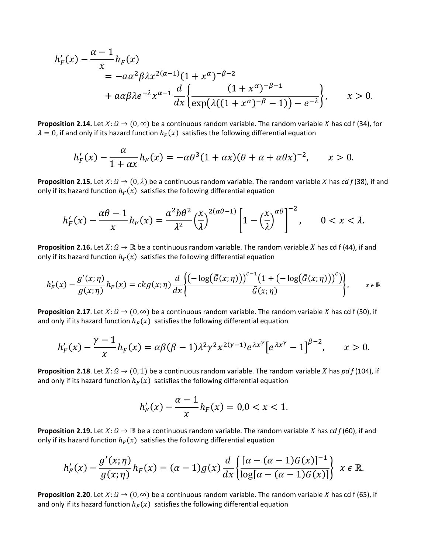$$
h'_F(x) - \frac{\alpha - 1}{x} h_F(x)
$$
  
=  $-\alpha \alpha^2 \beta \lambda x^{2(\alpha - 1)} (1 + x^{\alpha})^{-\beta - 2}$   
+  $\alpha \alpha \beta \lambda e^{-\lambda} x^{\alpha - 1} \frac{d}{dx} \left\{ \frac{(1 + x^{\alpha})^{-\beta - 1}}{\exp(\lambda((1 + x^{\alpha})^{-\beta} - 1)) - e^{-\lambda}} \right\}, \qquad x > 0.$ 

**Proposition 2.14.** Let  $X: \Omega \to (0, \infty)$  be a continuous random variable. The random variable X has cd f (34), for  $\lambda = 0$ , if and only if its hazard function  $h_F(x)$  satisfies the following differential equation

$$
h'_{F}(x) - \frac{\alpha}{1 + \alpha x} h_{F}(x) = -\alpha \theta^{3} (1 + \alpha x) (\theta + \alpha + \alpha \theta x)^{-2}, \qquad x > 0.
$$

**Proposition 2.15.** Let  $X: \Omega \to (0, \lambda)$  be a continuous random variable. The random variable X has *cd* f (38), if and only if its hazard function  $h_F(x)$  satisfies the following differential equation

$$
h'_F(x) - \frac{\alpha \theta - 1}{x} h_F(x) = \frac{\alpha^2 b \theta^2}{\lambda^2} \left(\frac{x}{\lambda}\right)^{2(\alpha \theta - 1)} \left[1 - \left(\frac{x}{\lambda}\right)^{\alpha \theta}\right]^{-2}, \qquad 0 < x < \lambda.
$$

**Proposition 2.16.** Let  $X: \Omega \to \mathbb{R}$  be a continuous random variable. The random variable *X* has cd f (44), if and only if its hazard function  $h_F(x)$  satisfies the following differential equation

$$
h'_{F}(x) - \frac{g'(x;\eta)}{g(x;\eta)}h_{F}(x) = ckg(x;\eta)\frac{d}{dx}\left\{\frac{\left(-\log(\bar{G}(x;\eta))\right)^{c-1}\left(1+\left(-\log(\bar{G}(x;\eta))\right)^{c}\right)}{\bar{G}(x;\eta)}\right\}, \qquad x \in \mathbb{R}
$$

**Proposition 2.17**. Let  $X: \Omega \to (0, \infty)$  be a continuous random variable. The random variable X has cd f (50), if and only if its hazard function  $h_F(x)$  satisfies the following differential equation

$$
h'_{F}(x)-\frac{\gamma-1}{x}h_{F}(x)=\alpha\beta(\beta-1)\lambda^{2}\gamma^{2}x^{2(\gamma-1)}e^{\lambda x^{\gamma}}\big[e^{\lambda x^{\gamma}}-1\big]^{\beta-2},\qquad x>0.
$$

**Proposition 2.18**. Let  $X: \Omega \to (0,1)$  be a continuous random variable. The random variable X has *pd f* (104), if and only if its hazard function  $h_F(x)$  satisfies the following differential equation

$$
h'_{F}(x) - \frac{\alpha - 1}{x}h_{F}(x) = 0, 0 < x < 1.
$$

**Proposition 2.19.** Let  $X: \Omega \to \mathbb{R}$  be a continuous random variable. The random variable *X* has *cd f* (60), if and only if its hazard function  $h_F(x)$  satisfies the following differential equation

$$
h'_F(x) - \frac{g'(x;\eta)}{g(x;\eta)}h_F(x) = (\alpha-1)g(x)\frac{d}{dx}\left\{\frac{[\alpha-(\alpha-1)G(x)]^{-1}}{\log[\alpha-(\alpha-1)G(x)]}\right\} \ x \in \mathbb{R}.
$$

**Proposition 2.20**. Let  $X: \Omega \to (0, \infty)$  be a continuous random variable. The random variable X has cd f (65), if and only if its hazard function  $h_F(x)$  satisfies the following differential equation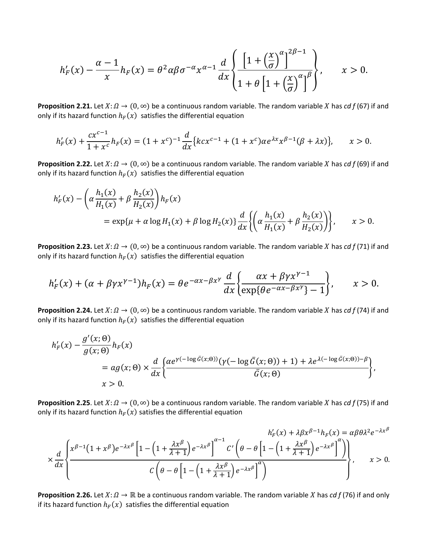$$
h'_{F}(x) - \frac{\alpha - 1}{x}h_{F}(x) = \theta^{2}\alpha\beta\sigma^{-\alpha}x^{\alpha - 1}\frac{d}{dx}\left\{\frac{\left[1 + \left(\frac{x}{\sigma}\right)^{\alpha}\right]^{2\beta - 1}}{1 + \theta\left[1 + \left(\frac{x}{\sigma}\right)^{\alpha}\right]^{\beta}}\right\}, \qquad x > 0.
$$

**Proposition 2.21.** Let  $X: \Omega \to (0, \infty)$  be a continuous random variable. The random variable X has *cd f* (67) if and only if its hazard function  $h_F(x)$  satisfies the differential equation

$$
h'_{F}(x) + \frac{cx^{c-1}}{1+x^{c}}h_{F}(x) = (1+x^{c})^{-1}\frac{d}{dx}\big\{kcx^{c-1} + (1+x^{c})\alpha e^{\lambda x}x^{\beta-1}(\beta+\lambda x)\big\}, \qquad x > 0.
$$

**Proposition 2.22.** Let  $X: \Omega \to (0, \infty)$  be a continuous random variable. The random variable X has *cd f* (69) if and only if its hazard function  $h_F(x)$  satisfies the differential equation

$$
h'_{F}(x) - \left(\alpha \frac{h_{1}(x)}{H_{1}(x)} + \beta \frac{h_{2}(x)}{H_{2}(x)}\right)h_{F}(x)
$$
  
=  $\exp\{\mu + \alpha \log H_{1}(x) + \beta \log H_{2}(x)\}\frac{d}{dx}\left\{\left(\alpha \frac{h_{1}(x)}{H_{1}(x)} + \beta \frac{h_{2}(x)}{H_{2}(x)}\right)\right\}, \qquad x > 0.$ 

**Proposition 2.23.** Let  $X: \Omega \to (0, \infty)$  be a continuous random variable. The random variable X has *cd f* (71) if and only if its hazard function  $h_F(x)$  satisfies the differential equation

$$
h'_{F}(x) + (\alpha + \beta \gamma x^{\gamma-1})h_{F}(x) = \theta e^{-\alpha x - \beta x^{\gamma}} \frac{d}{dx} \left\{ \frac{\alpha x + \beta \gamma x^{\gamma-1}}{\exp\{\theta e^{-\alpha x - \beta x^{\gamma}}\} - 1} \right\}, \qquad x > 0.
$$

**Proposition 2.24.** Let  $X: \Omega \to (0, \infty)$  be a continuous random variable. The random variable X has *cd f* (74) if and only if its hazard function  $h_F(x)$  satisfies the differential equation

$$
h'_{F}(x) - \frac{g'(x; \theta)}{g(x; \theta)} h_{F}(x)
$$
  
=  $ag(x; \theta) \times \frac{d}{dx} \left\{ \frac{\alpha e^{\gamma(-\log \bar{G}(x; \theta))} (\gamma(-\log \bar{G}(x; \theta)) + 1) + \lambda e^{\lambda(-\log \bar{G}(x; \theta)) - \beta}}{\bar{G}(x; \theta)} \right\},\$   
x > 0.

**Proposition 2.25**. Let  $X: \Omega \to (0, \infty)$  be a continuous random variable. The random variable X has *cd f* (75) if and only if its hazard function  $h_F(x)$  satisfies the differential equation

$$
\times \frac{d}{dx} \left\{ \frac{x^{\beta-1} (1+x^{\beta}) e^{-\lambda x^{\beta}} \left[ 1 - \left( 1 + \frac{\lambda x^{\beta}}{\lambda + 1} \right) e^{-\lambda x^{\beta}} \right]^{\alpha - 1} C' \left( \theta - \theta \left[ 1 - \left( 1 + \frac{\lambda x^{\beta}}{\lambda + 1} \right) e^{-\lambda x^{\beta}} \right]^{\alpha} \right)}{C \left( \theta - \theta \left[ 1 - \left( 1 + \frac{\lambda x^{\beta}}{\lambda + 1} \right) e^{-\lambda x^{\beta}} \right]^{\alpha} \right)}, \qquad x > 0.
$$

**Proposition 2.26.** Let  $X: \Omega \to \mathbb{R}$  be a continuous random variable. The random variable X has *cd f* (76) if and only if its hazard function  $h_F(x)$  satisfies the differential equation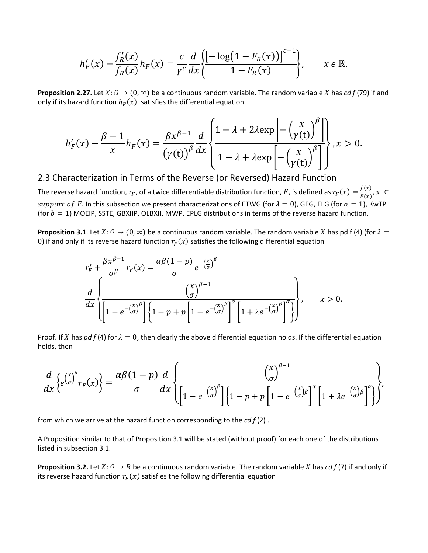$$
h'_{F}(x) - \frac{f'_{R}(x)}{f_{R}(x)}h_{F}(x) = \frac{c}{\gamma^{c}}\frac{d}{dx}\left\{\frac{\left[-\log(1 - F_{R}(x))\right]^{c-1}}{1 - F_{R}(x)}\right\}, \qquad x \in \mathbb{R}.
$$

**Proposition 2.27.** Let  $X: \Omega \to (0, \infty)$  be a continuous random variable. The random variable X has *cd f* (79) if and only if its hazard function  $h_F(x)$  satisfies the differential equation

$$
h'_{F}(x) - \frac{\beta - 1}{x} h_{F}(x) = \frac{\beta x^{\beta - 1}}{(\gamma(t))^{\beta}} \frac{d}{dx} \left\{ \frac{1 - \lambda + 2\lambda \exp\left[-\left(\frac{x}{\gamma(t)}\right)^{\beta}\right]}{1 - \lambda + \lambda \exp\left[-\left(\frac{x}{\gamma(t)}\right)^{\beta}\right]} \right\}, x > 0.
$$

2.3 Characterization in Terms of the Reverse (or Reversed) Hazard Function

The reverse hazard function,  $r_F$ , of a twice differentiable distribution function,  $F$ , is defined as  $r_F(x) = \frac{f(x)}{F(x)}$ ,  $x \in$ support of F. In this subsection we present characterizations of ETWG (for  $\lambda = 0$ ), GEG, ELG (for  $\alpha = 1$ ), KwTP (for  $b = 1$ ) MOEIP, SSTE, GBXIIP, OLBXII, MWP, EPLG distributions in terms of the reverse hazard function.

**Proposition 3.1**. Let  $X: \Omega \to (0, \infty)$  be a continuous random variable. The random variable X has pd f (4) (for  $\lambda =$ 0) if and only if its reverse hazard function  $r_F(x)$  satisfies the following differential equation

$$
r'_{F} + \frac{\beta x^{\beta - 1}}{\sigma^{\beta}} r_{F}(x) = \frac{\alpha \beta (1 - p)}{\sigma} e^{-\left(\frac{x}{\sigma}\right)^{\beta}}
$$

$$
\frac{d}{dx} \left\{ \frac{\left(\frac{x}{\sigma}\right)^{\beta - 1}}{\left[1 - e^{-\left(\frac{x}{\sigma}\right)^{\beta}}\right] \left\{1 - p + p\left[1 - e^{-\left(\frac{x}{\sigma}\right)^{\beta}}\right]^{\alpha}\left[1 + \lambda e^{-\left(\frac{x}{\sigma}\right)^{\beta}}\right]^{\alpha}\right\}}, \qquad x > 0.
$$

Proof. If X has *pd f* (4) for  $\lambda = 0$ , then clearly the above differential equation holds. If the differential equation holds, then

$$
\frac{d}{dx}\left\{e^{\left(\frac{x}{\sigma}\right)^{\beta}}r_F(x)\right\}=\frac{\alpha\beta(1-p)}{\sigma}\frac{d}{dx}\left\{\frac{\left(\frac{x}{\sigma}\right)^{\beta-1}}{\left[1-e^{-\left(\frac{x}{\sigma}\right)^{\beta}}\right]\left\{1-p+p\left[1-e^{-\left(\frac{x}{\sigma}\right)\beta}\right]^{\alpha}\left[1+\lambda e^{-\left(\frac{x}{\sigma}\right)\beta}\right]^{\alpha}\right\}},
$$

from which we arrive at the hazard function corresponding to the *cd f* (2) .

A Proposition similar to that of Proposition 3.1 will be stated (without proof) for each one of the distributions listed in subsection 3.1.

**Proposition 3.2.** Let  $X: \Omega \to R$  be a continuous random variable. The random variable X has *cd f* (7) if and only if its reverse hazard function  $r_F(x)$  satisfies the following differential equation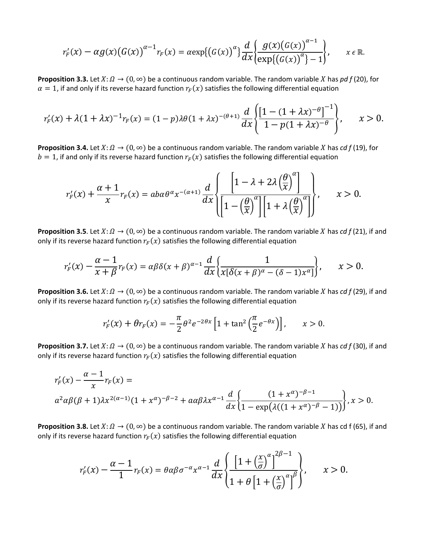$$
r'_{F}(x)-\alpha g(x)\big(G(x)\big)^{\alpha-1}r_{F}(x)=\alpha \exp\big\{\big(G(x)\big)^{\alpha}\big\}\frac{d}{dx}\bigg\{\frac{g(x)\big(G(x)\big)^{\alpha-1}}{\exp\{(G(x)\big)^{\alpha}\}-1}\bigg\},\qquad x\in\mathbb{R}.
$$

**Proposition 3.3.** Let  $X: \Omega \to (0, \infty)$  be a continuous random variable. The random variable X has *pd f* (20), for  $\alpha = 1$ , if and only if its reverse hazard function  $r_F(x)$  satisfies the following differential equation

$$
r'_{F}(x) + \lambda (1 + \lambda x)^{-1} r_{F}(x) = (1 - p)\lambda \theta (1 + \lambda x)^{-(\theta + 1)} \frac{d}{dx} \left\{ \frac{\left[1 - (1 + \lambda x)^{-\theta}\right]^{-1}}{1 - p(1 + \lambda x)^{-\theta}} \right\}, \qquad x > 0.
$$

**Proposition 3.4.** Let  $X: \Omega \to (0, \infty)$  be a continuous random variable. The random variable X has *cd*  $f(19)$ , for  $b = 1$ , if and only if its reverse hazard function  $r_F(x)$  satisfies the following differential equation

$$
r'_{F}(x) + \frac{\alpha+1}{x}r_{F}(x) = aba\theta^{\alpha}x^{-(\alpha+1)}\frac{d}{dx}\left\{\frac{\left[1-\lambda+2\lambda\left(\frac{\theta}{x}\right)^{\alpha}\right]}{\left[1-\left(\frac{\theta}{x}\right)^{\alpha}\right]\left[1+\lambda\left(\frac{\theta}{x}\right)^{\alpha}\right]}\right\}, \qquad x > 0.
$$

**Proposition 3.5**. Let  $X: \Omega \to (0, \infty)$  be a continuous random variable. The random variable X has *cd f* (21), if and only if its reverse hazard function  $r_F(x)$  satisfies the following differential equation

$$
r'_{F}(x) - \frac{\alpha - 1}{x + \beta} r_{F}(x) = \alpha \beta \delta(x + \beta)^{\alpha - 1} \frac{d}{dx} \left\{ \frac{1}{x[\delta(x + \beta)^{\alpha} - (\delta - 1)x^{\alpha}]} \right\}, \qquad x > 0.
$$

**Proposition 3.6.** Let  $X: \Omega \to (0, \infty)$  be a continuous random variable. The random variable X has *cd f* (29), if and only if its reverse hazard function  $r_F(x)$  satisfies the following differential equation

$$
r_F'(x) + \theta r_F(x) = -\frac{\pi}{2} \theta^2 e^{-2\theta x} \left[ 1 + \tan^2 \left( \frac{\pi}{2} e^{-\theta x} \right) \right], \qquad x > 0.
$$

**Proposition 3.7.** Let  $X: \Omega \to (0, \infty)$  be a continuous random variable. The random variable X has *cd* f (30), if and only if its reverse hazard function  $r_F(x)$  satisfies the following differential equation

$$
r'_{F}(x) - \frac{\alpha - 1}{x} r_{F}(x) =
$$
  

$$
\alpha^{2} \alpha \beta (\beta + 1) \lambda x^{2(\alpha - 1)} (1 + x^{\alpha})^{-\beta - 2} + \alpha \alpha \beta \lambda x^{\alpha - 1} \frac{d}{dx} \left\{ \frac{(1 + x^{\alpha})^{-\beta - 1}}{1 - \exp(\lambda((1 + x^{\alpha})^{-\beta} - 1))} \right\}, x > 0.
$$

**Proposition 3.8.** Let  $X: \Omega \to (0, \infty)$  be a continuous random variable. The random variable X has cd f (65), if and only if its reverse hazard function  $r_F(x)$  satisfies the following differential equation

$$
r'_{F}(x) - \frac{\alpha - 1}{1}r_{F}(x) = \theta \alpha \beta \sigma^{-\alpha} x^{\alpha - 1} \frac{d}{dx} \left\{ \frac{\left[1 + \left(\frac{x}{\sigma}\right)^{\alpha}\right]^{2\beta - 1}}{1 + \theta \left[1 + \left(\frac{x}{\sigma}\right)^{\alpha}\right]^{\beta}} \right\}, \qquad x > 0.
$$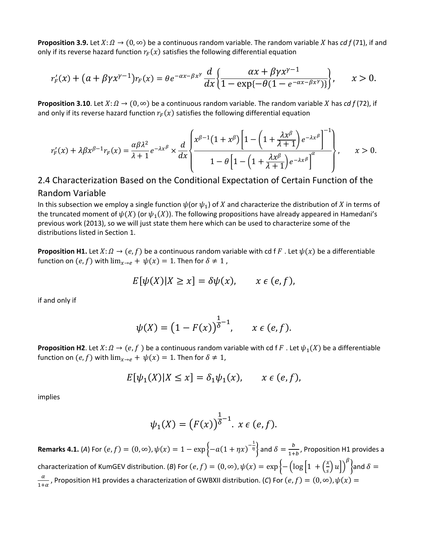**Proposition 3.9.** Let  $X: \Omega \to (0, \infty)$  be a continuous random variable. The random variable X has *cd* f (71), if and only if its reverse hazard function  $r_F(x)$  satisfies the following differential equation

$$
r'_{F}(x) + (a + \beta \gamma x^{\gamma-1})r_{F}(x) = \theta e^{-\alpha x - \beta x^{\gamma}} \frac{d}{dx} \left\{ \frac{\alpha x + \beta \gamma x^{\gamma-1}}{1 - \exp\{-\theta(1 - e^{-\alpha x - \beta x^{\gamma}})\}} \right\}, \qquad x > 0.
$$

**Proposition 3.10**. Let  $X: \Omega \to (0, \infty)$  be a continuous random variable. The random variable X has *cd f* (72), if and only if its reverse hazard function  $r_F(x)$  satisfies the following differential equation

$$
r'_{F}(x) + \lambda \beta x^{\beta-1} r_{F}(x) = \frac{\alpha \beta \lambda^{2}}{\lambda + 1} e^{-\lambda x^{\beta}} \times \frac{d}{dx} \left\{ \frac{x^{\beta-1} (1 + x^{\beta}) \left[ 1 - \left( 1 + \frac{\lambda x^{\beta}}{\lambda + 1} \right) e^{-\lambda x^{\beta}} \right]^{-1}}{1 - \theta \left[ 1 - \left( 1 + \frac{\lambda x^{\beta}}{\lambda + 1} \right) e^{-\lambda x^{\beta}} \right]^{\alpha}} \right\}, \qquad x > 0.
$$

#### 2.4 Characterization Based on the Conditional Expectation of Certain Function of the Random Variable

In this subsection we employ a single function  $\psi$  (or  $\psi_1$ ) of X and characterize the distribution of X in terms of the truncated moment of  $\psi(X)$  (or  $\psi_1(X)$ ). The following propositions have already appeared in Hamedani's previous work (2013), so we will just state them here which can be used to characterize some of the distributions listed in Section 1.

**Proposition H1.** Let  $X: \Omega \to (e, f)$  be a continuous random variable with cd f F. Let  $\psi(x)$  be a differentiable function on  $(e, f)$  with  $\lim_{x\to e} + \psi(x) = 1$ . Then for  $\delta \neq 1$ ,

$$
E[\psi(X)|X \ge x] = \delta \psi(x), \qquad x \in (e, f),
$$

if and only if

$$
\psi(X) = \left(1 - F(x)\right)^{\frac{1}{\delta} - 1}, \qquad x \in (e, f).
$$

**Proposition H2**. Let  $X: \Omega \to (e, f)$  be a continuous random variable with cd f F. Let  $\psi_1(X)$  be a differentiable function on  $(e, f)$  with  $\lim_{x\to e} + \psi(x) = 1$ . Then for  $\delta \neq 1$ ,

$$
E[\psi_1(X)|X \le x] = \delta_1 \psi_1(x), \qquad x \in (e, f),
$$

implies

$$
\psi_1(X) = \left(F(x)\right)^{\frac{1}{\delta}-1} \cdot x \in (e, f).
$$

**Remarks 4.1.** (A) For  $(e, f) = (0, \infty)$ ,  $\psi(x) = 1 - \exp\left\{-a(1 + \eta x)^{-\frac{1}{\eta}}\right\}$  and  $\delta = \frac{b}{1+b}$ , Proposition H1 provides a characterization of KumGEV distribution. (*B*) For  $(e, f) = (0, \infty)$ ,  $\psi(x) = \exp\left\{-\left(\log\left[1 + \left(\frac{\lambda}{s}\right)u\right]\right)\right\}$  $\stackrel{\beta}{\longrightarrow}$ and  $\delta =$  $\frac{\alpha}{1+\alpha}$ , Proposition H1 provides a characterization of GWBXII distribution. (*C*) For  $(e, f) = (0, \infty)$ ,  $\psi(x) =$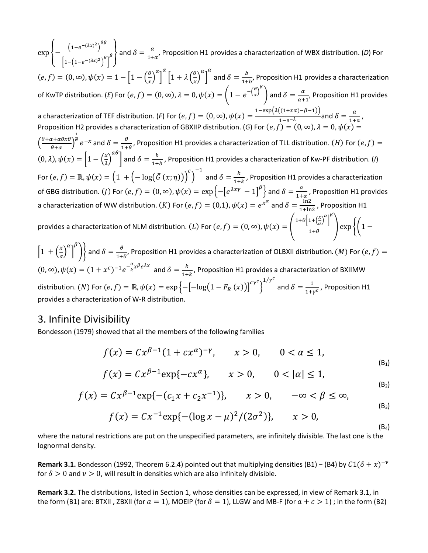$\exp\left\{-\frac{\left(1-e^{-(\lambda x)^2}\right)^{\theta}}{\sqrt{1-e^{-(\lambda x)^2}}}\right\}$  $\left[1-\left(1-e^{-(\lambda x)^2}\right)^{\theta}\right]$  $\frac{a}{\beta}$  and  $\delta = \frac{a}{1+a'}$ , Proposition H1 provides a characterization of WBX distribution. (*D*) For  $(e, f) = (0, \infty), \psi(x) = 1 - \left|1 - \left(\frac{\theta}{x}\right)\right|$  $\alpha$ �  $\alpha$  $\left|1 + \lambda \left(\frac{\theta}{r}\right)\right|$  $\alpha$ � and  $\delta = \frac{b}{1+b}$ , Proposition H1 provides a characterization of KwTP distribution. (*E*) For  $(e, f) = (0, \infty)$ ,  $\lambda = 0$ ,  $\psi(x) = \left(1 - e^{-\left(\frac{\theta}{x}\right)^{\beta}}\right)$  and  $\delta = \frac{\alpha}{\alpha+1}$ , Proposition H1 provides a characterization of TEF distribution. (*F*) For  $(e, f) = (0, \infty)$ ,  $\psi(x) = \frac{1 - \exp(\lambda((1 + x\alpha) - \beta - 1))}{1 - e^{-\lambda}}$  and  $\delta = \frac{a}{1 + a}$ , Proposition H2 provides a characterization of GBXIIP distribution. (*G*) For  $(e, f) = (0, \infty)$ ,  $\lambda = 0$ ,  $\psi(x) =$  $\left(\frac{\theta+\alpha+\alpha\theta x\theta}{\theta+\alpha}\right)$ 1  $\frac{\theta}{\theta}e^{-x}$  and  $\delta = \frac{\theta}{1+\theta}$ , Proposition H1 provides a characterization of TLL distribution. (H) For  $(e, f) =$  $(0, \lambda), \psi(x) = \left[1 - \left(\frac{1}{\lambda}\right)\right]$  $\begin{bmatrix} a^{H} \end{bmatrix}$  and  $\delta = \frac{b}{1+b}$ , Proposition H1 provides a characterization of Kw-PF distribution. (*I*) For  $(e, f) = \mathbb{R}, \psi(x) = \left(1 \ + \left(-\log(\bar{G}\ (x; \eta)\right)\right)^c$  $\big)$  $\sigma$ <sup>-1</sup> and  $\delta = \frac{k}{1+k}$ , Proposition H1 provides a characterization of GBG distribution. (*J*) For  $(e, f) = (0, \infty)$ ,  $\psi(x) = \exp\left\{-\left[e^{\lambda x \gamma} - 1\right]^\beta\right\}$  and  $\delta = \frac{\alpha}{1 + \alpha}$ , Proposition H1 provides a characterization of WW distribution.  $(K)$  For  $(e, f) = (0, 1)$ ,  $\psi(x) = e^{x^{\alpha}}$  and  $\delta = \frac{\ln 2}{1 + \ln 2}$ , Proposition H1 provides a characterization of NLM distribution. (*L*) For  $(e, f) = (0, \infty)$ ,  $\psi(x) = \left( \frac{1 + \theta \left[1 + \left(\frac{x}{\sigma}\right)^\alpha\right]^{\beta}}{1 + \theta}\right)$  $\frac{1}{1+\theta}$  exp {  $1-\frac{1}{2}$  $\left[1 + \left(\frac{1}{\sigma}\right)\right]$  $\alpha$  $\bigg\}$  $\binom{\beta}{k}$  and  $\delta = \frac{\theta}{1+\theta}$ , Proposition H1 provides a characterization of OLBXII distribution. (*M*) For  $(e,f)=(e,f)$ 

 $(0, ∞), ψ(x) = (1 + x^c)^{-1} e^{-\frac{\alpha}{k}x^{\beta}e^{\lambda x}}$  and  $\delta = \frac{k}{1+k}$ , Proposition H1 provides a characterization of BXIIMW distribution.  $(N)$  For  $(e, f) = \mathbb{R}$ ,  $\psi(x) = \exp\left\{-\left[-\text{log}\big(1 - F_R\left(x\right)\big)\right]^{\text{cyc}}\right\}$  $1/r^{c}$  and  $\delta = \frac{1}{1+r^{c}}$ , Proposition H1 provides a characterization of W-R distribution.

#### 3. Infinite Divisibility

Bondesson (1979) showed that all the members of the following families

$$
f(x) = C x^{\beta - 1} (1 + c x^{\alpha})^{-\gamma}, \qquad x > 0, \qquad 0 < \alpha \le 1,
$$
  

$$
f(x) = C x^{\beta - 1} \exp\{-cx^{\alpha}\}, \qquad x > 0, \qquad 0 < |\alpha| \le 1,
$$
 (B<sub>1</sub>)

$$
(x) = C x^{\beta - 1} \exp\{-(c_1 x + c_2 x^{-1})\}, \qquad x > 0, \qquad -\infty < \beta < \infty.
$$

$$
f(x) = C x^{\beta - 1} \exp\{-(c_1 x + c_2 x^{-1})\}, \qquad x > 0, \qquad -\infty < \beta \le \infty,
$$
 (B<sub>3</sub>)

$$
f(x) = C x^{-1} \exp\{-(\log x - \mu)^2/(2\sigma^2)\}, \qquad x > 0,
$$
\n(B4)

where the natural restrictions are put on the unspecified parameters, are infinitely divisible. The last one is the lognormal density.

**Remark 3.1.** Bondesson (1992, Theorem 6.2.4) pointed out that multiplying densities (B1) – (B4) by  $C1(\delta + x)^{-\nu}$ for  $\delta > 0$  and  $\nu > 0$ , will result in densities which are also infinitely divisible.

**Remark 3.2.** The distributions, listed in Section 1, whose densities can be expressed, in view of Remark 3.1, in the form (B1) are: BTXII, ZBXII (for  $a = 1$ ), MOEIP (for  $\delta = 1$ ), LLGW and MB-F (for  $a + c > 1$ ); in the form (B2)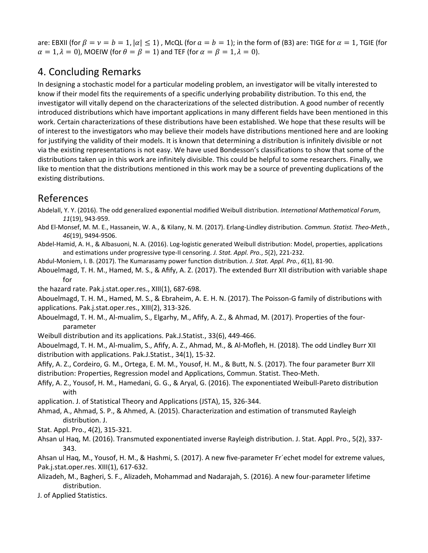are: EBXII (for  $\beta = \nu = b = 1$ ,  $|\alpha| \le 1$ ), McQL (for  $a = b = 1$ ); in the form of (B3) are: TIGE for  $\alpha = 1$ , TGIE (for  $\alpha = 1, \lambda = 0$ ), MOEIW (for  $\theta = \beta = 1$ ) and TEF (for  $\alpha = \beta = 1, \lambda = 0$ ).

# 4. Concluding Remarks

In designing a stochastic model for a particular modeling problem, an investigator will be vitally interested to know if their model fits the requirements of a specific underlying probability distribution. To this end, the investigator will vitally depend on the characterizations of the selected distribution. A good number of recently introduced distributions which have important applications in many different fields have been mentioned in this work. Certain characterizations of these distributions have been established. We hope that these results will be of interest to the investigators who may believe their models have distributions mentioned here and are looking for justifying the validity of their models. It is known that determining a distribution is infinitely divisible or not via the existing representations is not easy. We have used Bondesson's classifications to show that some of the distributions taken up in this work are infinitely divisible. This could be helpful to some researchers. Finally, we like to mention that the distributions mentioned in this work may be a source of preventing duplications of the existing distributions.

# References

- Abdelall, Y. Y. (2016). The odd generalized exponential modified Weibull distribution. *International Mathematical Forum*, *11*(19), 943-959.
- Abd El-Monsef, M. M. E., Hassanein, W. A., & Kilany, N. M. (2017). Erlang-Lindley distribution. *Commun. Statist. Theo-Meth.*, *46*(19), 9494-9506.
- Abdel-Hamid, A. H., & Albasuoni, N. A. (2016). Log-logistic generated Weibull distribution: Model, properties, applications and estimations under progressive type-II censoring. *J. Stat. Appl. Pro.*, *5*(2), 221-232.
- Abdul-Moniem, I. B. (2017). The Kumarasamy power function distribution. *J. Stat. Appl. Pro.*, *6*(1), 81-90.
- Abouelmagd, T. H. M., Hamed, M. S., & Afify, A. Z. (2017). The extended Burr XII distribution with variable shape for
- the hazard rate. Pak.j.stat.oper.res., XIII(1), 687-698.

Abouelmagd, T. H. M., Hamed, M. S., & Ebraheim, A. E. H. N. (2017). The Poisson-G family of distributions with applications. Pak.j.stat.oper.res., XIII(2), 313-326.

- Abouelmagd, T. H. M., Al-mualim, S., Elgarhy, M., Afify, A. Z., & Ahmad, M. (2017). Properties of the fourparameter
- Weibull distribution and its applications. Pak.J.Statist., 33(6), 449-466.
- Abouelmagd, T. H. M., Al-mualim, S., Afify, A. Z., Ahmad, M., & Al-Mofleh, H. (2018). The odd Lindley Burr XII distribution with applications. Pak.J.Statist., 34(1), 15-32.
- Afify, A. Z., Cordeiro, G. M., Ortega, E. M. M., Yousof, H. M., & Butt, N. S. (2017). The four parameter Burr XII distribution: Properties, Regression model and Applications, Commun. Statist. Theo-Meth.
- Afify, A. Z., Yousof, H. M., Hamedani, G. G., & Aryal, G. (2016). The exponentiated Weibull-Pareto distribution with
- application. J. of Statistical Theory and Applications (JSTA), 15, 326-344.
- Ahmad, A., Ahmad, S. P., & Ahmed, A. (2015). Characterization and estimation of transmuted Rayleigh distribution. J.
- Stat. Appl. Pro., 4(2), 315-321.
- Ahsan ul Haq, M. (2016). Transmuted exponentiated inverse Rayleigh distribution. J. Stat. Appl. Pro., 5(2), 337- 343.
- Ahsan ul Haq, M., Yousof, H. M., & Hashmi, S. (2017). A new five-parameter Fr´echet model for extreme values, Pak.j.stat.oper.res. XIII(1), 617-632.
- Alizadeh, M., Bagheri, S. F., Alizadeh, Mohammad and Nadarajah, S. (2016). A new four-parameter lifetime distribution.
- J. of Applied Statistics.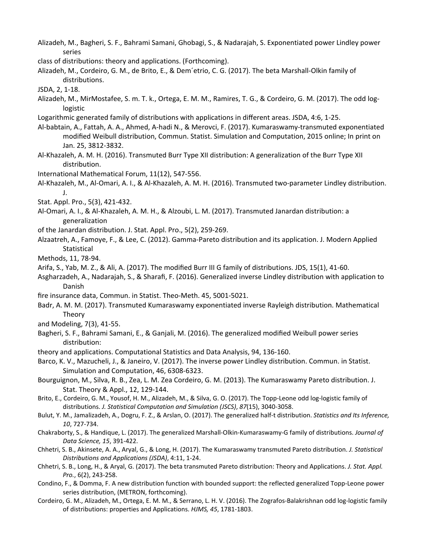Alizadeh, M., Bagheri, S. F., Bahrami Samani, Ghobagi, S., & Nadarajah, S. Exponentiated power Lindley power series

class of distributions: theory and applications. (Forthcoming).

- Alizadeh, M., Cordeiro, G. M., de Brito, E., & Dem´etrio, C. G. (2017). The beta Marshall-Olkin family of distributions.
- JSDA, 2, 1-18.
- Alizadeh, M., MirMostafee, S. m. T. k., Ortega, E. M. M., Ramires, T. G., & Cordeiro, G. M. (2017). The odd loglogistic
- Logarithmic generated family of distributions with applications in different areas. JSDA, 4:6, 1-25.
- Al-babtain, A., Fattah, A. A., Ahmed, A-hadi N., & Merovci, F. (2017). Kumaraswamy-transmuted exponentiated modified Weibull distribution, Commun. Statist. Simulation and Computation, 2015 online; In print on Jan. 25, 3812-3832.
- Al-Khazaleh, A. M. H. (2016). Transmuted Burr Type XII distribution: A generalization of the Burr Type XII distribution.
- International Mathematical Forum, 11(12), 547-556.
- Al-Khazaleh, M., Al-Omari, A. I., & Al-Khazaleh, A. M. H. (2016). Transmuted two-parameter Lindley distribution. J.
- Stat. Appl. Pro., 5(3), 421-432.
- Al-Omari, A. I., & Al-Khazaleh, A. M. H., & Alzoubi, L. M. (2017). Transmuted Janardan distribution: a generalization
- of the Janardan distribution. J. Stat. Appl. Pro., 5(2), 259-269.
- Alzaatreh, A., Famoye, F., & Lee, C. (2012). Gamma-Pareto distribution and its application. J. Modern Applied **Statistical**
- Methods, 11, 78-94.
- Arifa, S., Yab, M. Z., & Ali, A. (2017). The modified Burr III G family of distributions. JDS, 15(1), 41-60.
- Asgharzadeh, A., Nadarajah, S., & Sharafi, F. (2016). Generalized inverse Lindley distribution with application to Danish
- fire insurance data, Commun. in Statist. Theo-Meth. 45, 5001-5021.
- Badr, A. M. M. (2017). Transmuted Kumaraswamy exponentiated inverse Rayleigh distribution. Mathematical Theory
- and Modeling, 7(3), 41-55.
- Bagheri, S. F., Bahrami Samani, E., & Ganjali, M. (2016). The generalized modified Weibull power series distribution:
- theory and applications. Computational Statistics and Data Analysis, 94, 136-160.
- Barco, K. V., Mazucheli, J., & Janeiro, V. (2017). The inverse power Lindley distribution. Commun. in Statist. Simulation and Computation, 46, 6308-6323.
- Bourguignon, M., Silva, R. B., Zea, L. M. Zea Cordeiro, G. M. (2013). The Kumaraswamy Pareto distribution. J. Stat. Theory & Appl., 12, 129-144.
- Brito, E., Cordeiro, G. M., Yousof, H. M., Alizadeh, M., & Silva, G. O. (2017). The Topp-Leone odd log-logistic family of distributions. *J. Statistical Computation and Simulation (JSCS)*, *87*(15), 3040-3058.
- Bulut, Y. M., Jamalizadeh, A., Dogru, F. Z., & Arslan, O. (2017). The generalized half-t distribution. *Statistics and Its Inference, 10*, 727-734.
- Chakraborty, S., & Handique, L. (2017). The generalized Marshall-Olkin-Kumaraswamy-G family of distributions. *Journal of Data Science, 15*, 391-422.
- Chhetri, S. B., Akinsete, A. A., Aryal, G., & Long, H. (2017). The Kumaraswamy transmuted Pareto distribution. *J. Statistical Distributions and Applications (JSDA)*, 4:11, 1-24.
- Chhetri, S. B., Long, H., & Aryal, G. (2017). The beta transmuted Pareto distribution: Theory and Applications. *J. Stat. Appl. Pro.*, 6(2), 243-258.
- Condino, F., & Domma, F. A new distribution function with bounded support: the reflected generalized Topp-Leone power series distribution, (METRON, forthcoming).
- Cordeiro, G. M., Alizadeh, M., Ortega, E. M. M., & Serrano, L. H. V. (2016). The Zografos-Balakrishnan odd log-logistic family of distributions: properties and Applications. *HJMS, 45*, 1781-1803.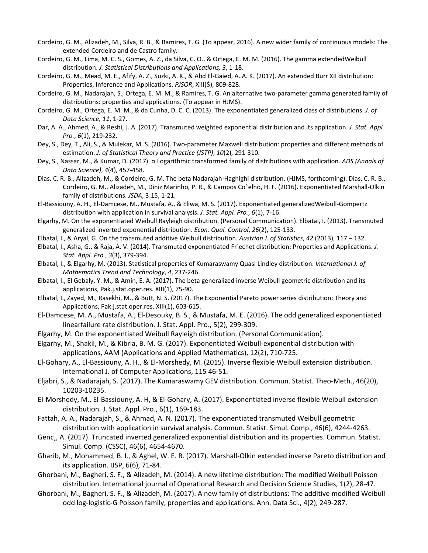- Cordeiro, G. M., Alizadeh, M., Silva, R. B., & Ramires, T. G. (To appear, 2016). A new wider family of continuous models: The extended Cordeiro and de Castro family.
- Cordeiro, G. M., Lima, M. C. S., Gomes, A. Z., da Silva, C. O., & Ortega, E. M. M. (2016). The gamma extendedWeibull distribution. *J. Statistical Distributions and Applications, 3*, 1-18.
- Cordeiro, G. M., Mead, M. E., Afify, A. Z., Suzki, A. K., & Abd El-Gaied, A. A. K. (2017). An extended Burr XII distribution: Properties, Inference and Applications. *PJSOR*, XIII(\$), 809-828.
- Cordeiro, G. M., Nadarajah, S., Ortega, E. M. M., & Ramires, T. G. An alternative two-parameter gamma generated family of distributions: properties and applications. (To appear in HJMS).
- Cordeiro, G. M., Ortega, E. M. M., & da Cunha, D. C. C. (2013). The exponentiated generalized class of distributions. *J. of Data Science, 11*, 1-27.
- Dar, A. A., Ahmed, A., & Reshi, J. A. (2017). Transmuted weighted exponential distribution and its application. *J. Stat. Appl. Pro.*, *6*(1), 219-232.
- Dey, S., Dey, T., Ali, S., & Mulekar, M. S. (2016). Two-parameter Maxwell distribution: properties and different methods of estimation. *J. of Statistical Theory and Practice (JSTP)*, *10*(2), 291-310.
- Dey, S., Nassar, M., & Kumar, D. (2017). α Logarithmic transformed family of distributions with application. *ADS (Annals of Data Science)*, *4*(4), 457-458.
- Dias, C. R. B., Alizadeh, M., & Cordeiro, G. M. The beta Nadarajah-Haghighi distribution, (HJMS, forthcoming). Dias, C. R. B., Cordeiro, G. M., Alizadeh, M., Diniz Marinho, P. R., & Campos Coˆelho, H. F. (2016). Exponentiated Marshall-Olkin family of distributions. *JSDA*, 3:15, 1-21.
- El-Bassiouny, A. H., El-Damcese, M., Mustafa, A., & Eliwa, M. S. (2017). Exponentiated generalizedWeibull-Gompertz distribution with application in survival analysis. *J. Stat. Appl. Pro.*, *6*(1), 7-16.
- Elgarhy, M. On the exponentiated Weibull Rayleigh distribution. (Personal Communication). Elbatal, I. (2013). Transmuted generalized inverted exponential distribution. *Econ. Qual. Control*, *26*(2), 125-133.
- Elbatal, I., & Aryal, G. On the transmuted additive Weibull distribution. *Austrian J. of Statistics*, *42* (2013), 117 − 132.
- Elbatal, I., Asha, G., & Raja, A. V. (2014). Transmuted exponentiated Fr´echet distribution: Properties and Applications. *J. Stat. Appl. Pro.*, *3*(3), 379-394.
- Elbatal, I., & Elgarhy, M. (2013). Statistical properties of Kumaraswamy Quasi Lindley distribution. *International J. of Mathematics Trend and Technology*, *4*, 237-246.
- Elbatal, I., El Gebaly, Y. M., & Amin, E. A. (2017). The beta generalized inverse Weibull geometric distribution and its applications, Pak.j.stat.oper.res. XIII(1), 75-90.
- Elbatal, I., Zayed, M., Rasekhi, M., & Butt, N. S. (2017). The Exponential Pareto power series distribution: Theory and Applications, Pak.j.stat.oper.res. XIII(1), 603-615.
- El-Damcese, M. A., Mustafa, A., El-Desouky, B. S., & Mustafa, M. E. (2016). The odd generalized exponentiated linearfailure rate distribution. J. Stat. Appl. Pro., 5(2), 299-309.
- Elgarhy, M. On the exponentiated Weibull Rayleigh distribution. (Personal Communication).
- Elgarhy, M., Shakil, M., & Kibria, B. M. G. (2017). Exponentiated Weibull-exponential distribution with applications, AAM (Applications and Applied Mathematics), 12(2), 710-725.
- El-Gohary, A., El-Bassiouny, A. H., & El-Morshedy, M. (2015). Inverse flexible Weibull extension distribution. International J. of Computer Applications, 115 46-51.
- Eljabri, S., & Nadarajah, S. (2017). The Kumaraswamy GEV distribution. Commun. Statist. Theo-Meth., 46(20), 10203-10235.
- El-Morshedy, M., El-Bassiouny, A. H, & El-Gohary, A. (2017). Exponentiated inverse flexible Weibull extension distribution. J. Stat. Appl. Pro., 6(1), 169-183.
- Fattah, A. A., Nadarajah, S., & Ahmad, A. N. (2017). The exponentiated transmuted Weibull geometric distribution with application in survival analysis. Commun. Statist. Simul. Comp., 46(6), 4244-4263.
- Genc<sub>.</sub>, A. (2017). Truncated inverted generalized exponential distribution and its properties. Commun. Statist. Simul. Comp. (CSSC), 46(6), 4654-4670.
- Gharib, M., Mohammed, B. I., & Aghel, W. E. R. (2017). Marshall-Olkin extended inverse Pareto distribution and its application. IJSP, 6(6), 71-84.
- Ghorbani, M., Bagheri, S. F., & Alizadeh, M. (2014). A new lifetime distribution: The modified Weibull Poisson distribution. International journal of Operational Research and Decision Science Studies, 1(2), 28-47.
- Ghorbani, M., Bagheri, S. F., & Alizadeh, M. (2017). A new family of distributions: The additive modified Weibull odd log-logistic-G Poisson family, properties and applications. Ann. Data Sci., 4(2), 249-287.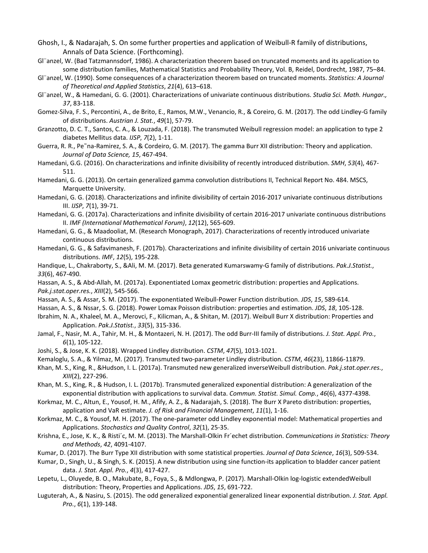- Ghosh, I., & Nadarajah, S. On some further properties and application of Weibull-R family of distributions, Annals of Data Science. (Forthcoming).
- Gl¨anzel, W. (Bad Tatzmannsdorf, 1986). A characterization theorem based on truncated moments and its application to some distribution families, Mathematical Statistics and Probability Theory, Vol. B, Reidel, Dordrecht, 1987, 75–84.
- Gl¨anzel, W. (1990). Some consequences of a characterization theorem based on truncated moments. *Statistics: A Journal of Theoretical and Applied Statistics*, *21*(4), 613–618.
- Gl¨anzel, W., & Hamedani, G. G. (2001). Characterizations of univariate continuous distributions. *Studia Sci. Math. Hungar., 37*, 83-118.
- Gomez-Silva, F. S., Percontini, A., de Brito, E., Ramos, M.W., Venancio, R., & Coreiro, G. M. (2017). The odd Lindley-G family of distributions. *Austrian J. Stat.*, *49*(1), 57-79.
- Granzotto, D. C. T., Santos, C. A., & Louzada, F. (2018). The transmuted Weibull regression model: an application to type 2 diabetes Mellitus data. *IJSP*, *7*(2), 1-11.
- Guerra, R. R., Pe˜na-Ramirez, S. A., & Cordeiro, G. M. (2017). The gamma Burr XII distribution: Theory and application. *Journal of Data Science, 15*, 467-494.
- Hamedani, G.G. (2016). On characterizations and infinite divisibility of recently introduced distribution. *SMH*, *53*(4), 467- 511.
- Hamedani, G. G. (2013). On certain generalized gamma convolution distributions II, Technical Report No. 484. MSCS, Marquette University.
- Hamedani, G. G. (2018). Characterizations and infinite divisibility of certain 2016-2017 univariate continuous distributions III. *IJSP*, *7*(1), 39-71.
- Hamedani, G. G. (2017a). Characterizations and infinite divisibility of certain 2016-2017 univariate continuous distributions II. *IMF (International Mathematical Forum)*, *12*(12), 565-609.
- Hamedani, G. G., & Maadooliat, M. (Research Monograph, 2017). Characterizations of recently introduced univariate continuous distributions.
- Hamedani, G. G., & Safavimanesh, F. (2017b). Characterizations and infinite divisibility of certain 2016 univariate continuous distributions. *IMF*, *12*(5), 195-228.

Handique, L., Chakraborty, S., &Ali, M. M. (2017). Beta generated Kumarswamy-G family of distributions. *Pak.J.Statist.*, *33*(6), 467-490.

- Hassan, A. S., & Abd-Allah, M. (2017a). Exponentiated Lomax geometric distribution: properties and Applications. *Pak.j.stat.oper.res.*, *XIII*(2), 545-566.
- Hassan, A. S., & Assar, S. M. (2017). The exponentiated Weibull-Power Function distribution. *JDS*, *15*, 589-614.
- Hassan, A. S., & Nssar, S. G. (2018). Power Lomax Poisson distribution: properties and estimation. *JDS*, *18*, 105-128.
- Ibrahim, N. A., Khaleel, M. A., Merovci, F., Kilicman, A., & Shitan, M. (2017). Weibull Burr X distribution: Properties and Application. *Pak.J.Statist.*, *33*(5), 315-336.
- Jamal, F., Nasir, M. A., Tahir, M. H., & Montazeri, N. H. (2017). The odd Burr-III family of distributions. *J. Stat. Appl. Pro.*, *6*(1), 105-122.
- Joshi, S., & Jose, K. K. (2018). Wrapped Lindley distribution. *CSTM*, *47*(5), 1013-1021.
- Kemaloglu, S. A., & Yilmaz, M. (2017). Transmuted two-parameter Lindley distribution. *CSTM*, *46*(23), 11866-11879.
- Khan, M. S., King, R., &Hudson, I. L. (2017a). Transmuted new generalized inverseWeibull distribution. *Pak.j.stat.oper.res.*, *XIII*(2), 227-296.
- Khan, M. S., King, R., & Hudson, I. L. (2017b). Transmuted generalized exponential distribution: A generalization of the exponential distribution with applications to survival data. *Commun. Statist. Simul. Comp.*, *46*(6), 4377-4398.
- Korkmaz, M. C., Altun, E., Yousof, H. M., Afify, A. Z., & Nadarajah, S. (2018). The Burr X Pareto distribution: properties, application and VaR estimate. *J. of Risk and Financial Management*, *11*(1), 1-16.
- Korkmaz, M. C., & Yousof, M. H. (2017). The one-parameter odd Lindley exponential model: Mathematical properties and Applications. *Stochastics and Quality Control*, *32*(1), 25-35.
- Krishna, E., Jose, K. K., & Risti´c, M. M. (2013). The Marshall-Olkin Fr´echet distribution. *Communications in Statistics: Theory and Methods*, *42*, 4091-4107.
- Kumar, D. (2017). The Burr Type XII distribution with some statistical properties. *Journal of Data Science*, *16*(3), 509-534.
- Kumar, D., Singh, U., & Singh, S. K. (2015). A new distribution using sine function-its application to bladder cancer patient data. *J. Stat. Appl. Pro.*, *4*(3), 417-427.
- Lepetu, L., Oluyede, B. O., Makubate, B., Foya, S., & Mdlongwa, P. (2017). Marshall-Olkin log-logistic extendedWeibull distribution: Theory, Properties and Applications. *JDS*, *15*, 691-722.
- Luguterah, A., & Nasiru, S. (2015). The odd generalized exponential generalized linear exponential distribution. *J. Stat. Appl. Pro.*, *6*(1), 139-148.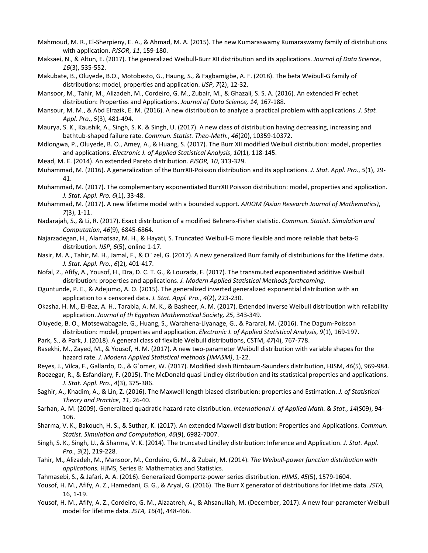- Mahmoud, M. R., El-Sherpieny, E. A., & Ahmad, M. A. (2015). The new Kumaraswamy Kumaraswamy family of distributions with application. *PJSOR*, *11*, 159-180.
- Maksaei, N., & Altun, E. (2017). The generalized Weibull-Burr XII distribution and its applications. *Journal of Data Science*, *16*(3), 535-552.
- Makubate, B., Oluyede, B.O., Motobesto, G., Haung, S., & Fagbamigbe, A. F. (2018). The beta Weibull-G family of distributions: model, properties and application. *IJSP*, *7*(2), 12-32.
- Mansoor, M., Tahir, M., Alizadeh, M., Cordeiro, G. M., Zubair, M., & Ghazali, S. S. A. (2016). An extended Fr´echet distribution: Properties and Applications. *Journal of Data Science, 14*, 167-188.
- Mansour, M. M., & Abd Elrazik, E. M. (2016). A new distribution to analyze a practical problem with applications. *J. Stat. Appl. Pro.*, *5*(3), 481-494.
- Maurya, S. K., Kaushik, A., Singh, S. K. & Singh, U. (2017). A new class of distribution having decreasing, increasing and bathtub-shaped failure rate. *Commun. Statist. Theo-Meth.*, *46*(20), 10359-10372.
- Mdlongwa, P., Oluyede, B. O., Amey, A., & Huang, S. (2017). The Burr XII modified Weibull distribution: model, properties and applications. *Electronic J. of Applied Statistical Analysis*, *10*(1), 118-145.
- Mead, M. E. (2014). An extended Pareto distribution. *PJSOR, 10*, 313-329.
- Muhammad, M. (2016). A generalization of the BurrXII-Poisson distribution and its applications. *J. Stat. Appl. Pro.*, *5*(1), 29- 41.
- Muhammad, M. (2017). The complementary exponentiated BurrXII Poisson distribution: model, properties and application. *J. Stat. Appl. Pro. 6*(1), 33-48.
- Muhammad, M. (2017). A new lifetime model with a bounded support. *ARJOM (Asian Research Journal of Mathematics)*, *7*(3), 1-11.
- Nadarajah, S., & Li, R. (2017). Exact distribution of a modified Behrens-Fisher statistic. *Commun. Statist. Simulation and Computation*, *46*(9), 6845-6864.
- Najarzadegan, H., Alamatsaz, M. H., & Hayati, S. Truncated Weibull-G more flexible and more reliable that beta-G distribution. *IJSP*, *6*(5), online 1-17.
- Nasir, M. A., Tahir, M. H., Jamal, F., & O¨ zel, G. (2017). A new generalized Burr family of distributions for the lifetime data. *J. Stat. Appl. Pro.*, *6*(2), 401-417.
- Nofal, Z., Afify, A., Yousof, H., Dra, D. C. T. G., & Louzada, F. (2017). The transmuted exponentiated additive Weibull distribution: properties and applications. *J. Modern Applied Statistical Methods forthcoming*.
- Oguntunde, P. E., & Adejumo, A. O. (2015). The generalized inverted generalized exponential distribution with an application to a censored data. *J. Stat. Appl. Pro.*, *4*(2), 223-230.
- Okasha, H. M., El-Baz, A. H., Tarabia, A. M. K., & Basheer, A. M. (2017). Extended inverse Weibull distribution with reliability application. *Journal of th Egyptian Mathematical Society, 25*, 343-349.
- Oluyede, B. O., Motsewabagale, G., Huang, S., Warahena-Liyanage, G., & Pararai, M. (2016). The Dagum-Poisson distribution: model, properties and application. *Electronic J. of Applied Statistical Analysis*, *9*(1), 169-197.
- Park, S., & Park, J. (2018). A general class of flexible Weibull distributions, CSTM, *47*(4), 767-778.
- Rasekhi, M., Zayed, M., & Yousof, H. M. (2017). A new two-parameter Weibull distribution with variable shapes for the hazard rate. *J. Modern Applied Statistical methods (JMASM)*, 1-22.
- Reyes, J., Vilca, F., Gallardo, D., & G´omez, W. (2017). Modified slash Birnbaum-Saunders distribution, HJSM, *46*(5), 969-984.
- Roozegar, R., & Esfandiary, F. (2015). The McDonald quasi Lindley distribution and its statistical properties and applications. *J. Stat. Appl. Pro.*, *4*(3), 375-386.
- Saghir, A., Khadim, A., & Lin, Z. (2016). The Maxwell length biased distribution: properties and Estimation. *J. of Statistical Theory and Practice*, *11*, 26-40.
- Sarhan, A. M. (2009). Generalized quadratic hazard rate distribution. *International J. of Applied Math.* & *Stat.*, *14*(S09), 94- 106.
- Sharma, V. K., Bakouch, H. S., & Suthar, K. (2017). An extended Maxwell distribution: Properties and Applications. *Commun. Statist. Simulation and Computation*, *46*(9), 6982-7007.
- Singh, S. K., Singh, U., & Sharma, V. K. (2014). The truncated Lindley distribution: Inference and Application. *J. Stat. Appl. Pro.*, *3*(2), 219-228.
- Tahir, M., Alizadeh, M., Mansoor, M., Cordeiro, G. M., & Zubair, M. (2014). *The Weibull-power function distribution with applications.* HJMS, Series B: Mathematics and Statistics.
- Tahmasebi, S., & Jafari, A. A. (2016). Generalized Gompertz-power series distribution. *HJMS*, *45*(5), 1579-1604.
- Yousof, H. M., Afify, A. Z., Hamedani, G. G., & Aryal, G. (2016). The Burr X generator of distributions for lifetime data. *JSTA,*  16, 1-19.
- Yousof, H. M., Afify, A. Z., Cordeiro, G. M., Alzaatreh, A., & Ahsanullah, M. (December, 2017). A new four-parameter Weibull model for lifetime data. *JSTA, 16*(4), 448-466.